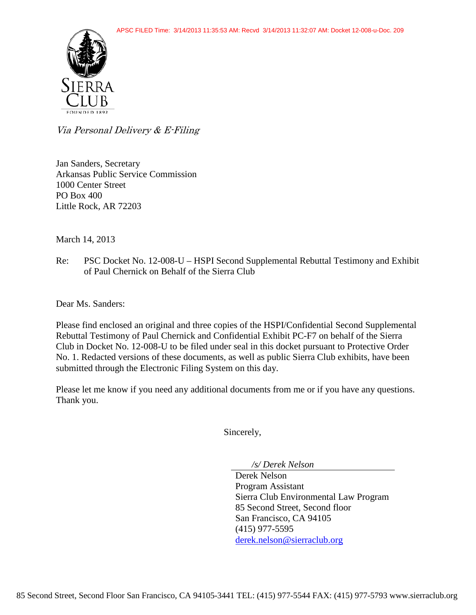

Via Personal Delivery & E-Filing

Jan Sanders, Secretary Arkansas Public Service Commission 1000 Center Street PO Box 400 Little Rock, AR 72203

March 14, 2013

Re: PSC Docket No. 12-008-U – HSPI Second Supplemental Rebuttal Testimony and Exhibit of Paul Chernick on Behalf of the Sierra Club

Dear Ms. Sanders:

Please find enclosed an original and three copies of the HSPI/Confidential Second Supplemental Rebuttal Testimony of Paul Chernick and Confidential Exhibit PC-F7 on behalf of the Sierra Club in Docket No. 12-008-U to be filed under seal in this docket pursuant to Protective Order No. 1. Redacted versions of these documents, as well as public Sierra Club exhibits, have been submitted through the Electronic Filing System on this day.

Please let me know if you need any additional documents from me or if you have any questions. Thank you.

Sincerely,

*/s/ Derek Nelson* 

Derek Nelson Program Assistant Sierra Club Environmental Law Program 85 Second Street, Second floor San Francisco, CA 94105 (415) 977-5595 [derek.nelson@sierraclub.org](mailto:derek.nelson@sierraclub.org)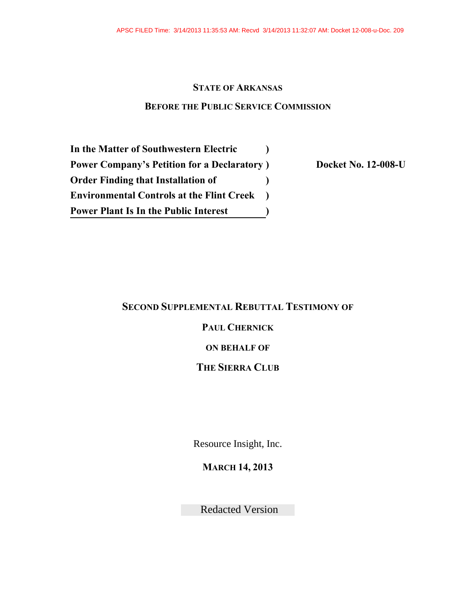### **STATE OF ARKANSAS**

#### **BEFORE THE PUBLIC SERVICE COMMISSION**

**In the Matter of Southwestern Electric Power Company's Petition for a Declaratory Order Finding that Installation of Environmental Controls at the Flint Creek Power Plant Is In the Public Interest ) ) ) )**

**) Docket No. 12-008-U**

#### **SECOND SUPPLEMENTAL REBUTTAL TESTIMONY OF**

### **PAUL CHERNICK**

### **ON BEHALF OF**

### **THE SIERRA CLUB**

Resource Insight, Inc.

**MARCH 14, 2013**

Redacted Version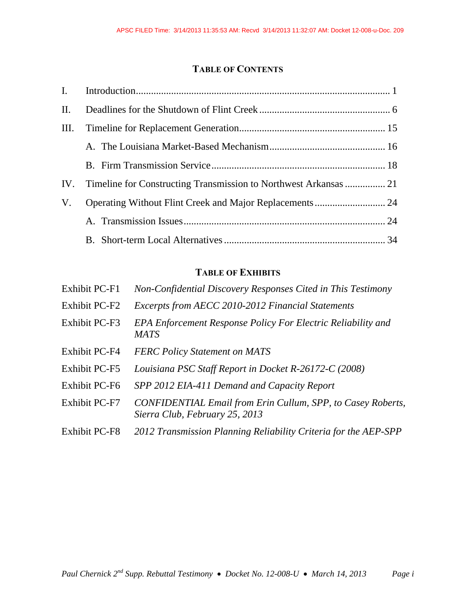### **TABLE OF CONTENTS**

|    | IV. Timeline for Constructing Transmission to Northwest Arkansas  21 |  |
|----|----------------------------------------------------------------------|--|
| V. | Operating Without Flint Creek and Major Replacements  24             |  |
|    |                                                                      |  |
|    |                                                                      |  |

### **TABLE OF EXHIBITS**

| <b>Exhibit PC-F1</b> | Non-Confidential Discovery Responses Cited in This Testimony                                  |
|----------------------|-----------------------------------------------------------------------------------------------|
| <b>Exhibit PC-F2</b> | Excerpts from AECC 2010-2012 Financial Statements                                             |
| Exhibit PC-F3        | EPA Enforcement Response Policy For Electric Reliability and<br><b>MATS</b>                   |
| <b>Exhibit PC-F4</b> | <b>FERC Policy Statement on MATS</b>                                                          |
| <b>Exhibit PC-F5</b> | Louisiana PSC Staff Report in Docket R-26172-C (2008)                                         |
| Exhibit PC-F6        | SPP 2012 EIA-411 Demand and Capacity Report                                                   |
| Exhibit PC-F7        | CONFIDENTIAL Email from Erin Cullum, SPP, to Casey Roberts,<br>Sierra Club, February 25, 2013 |
| <b>Exhibit PC-F8</b> | 2012 Transmission Planning Reliability Criteria for the AEP-SPP                               |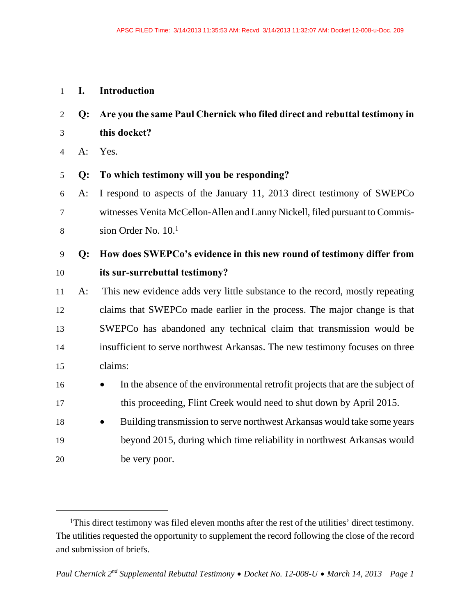#### 1 **I. Introduction**

2 **Q: Are you the same Paul Chernick who filed direct and rebuttal testimony in**  3 **this docket?** 

4 A: Yes.

 $\overline{a}$ 

#### 5 **Q: To which testimony will you be responding?**

6 A: I respond to aspects of the January 11, 2013 direct testimony of SWEPCo 7 witnesses Venita McCellon-Allen and Lanny Nickell, filed pursuant to Commission Order No. 10.1 8

### 9 **Q: How does SWEPCo's evidence in this new round of testimony differ from**  10 **its sur-surrebuttal testimony?**

11 A: This new evidence adds very little substance to the record, mostly repeating 12 claims that SWEPCo made earlier in the process. The major change is that 13 SWEPCo has abandoned any technical claim that transmission would be 14 insufficient to serve northwest Arkansas. The new testimony focuses on three 15 claims:

- 16 **In the absence of the environmental retrofit projects that are the subject of** 17 this proceeding, Flint Creek would need to shut down by April 2015.
- 18 **Building transmission to serve northwest Arkansas would take some years** 19 beyond 2015, during which time reliability in northwest Arkansas would 20 be very poor.

<sup>1</sup>This direct testimony was filed eleven months after the rest of the utilities' direct testimony. The utilities requested the opportunity to supplement the record following the close of the record and submission of briefs.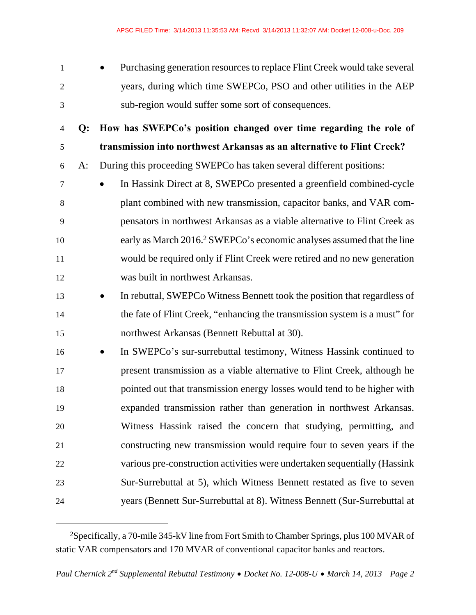1 **Purchasing generation resources to replace Flint Creek would take several** 2 years, during which time SWEPCo, PSO and other utilities in the AEP 3 sub-region would suffer some sort of consequences.

4 **Q: How has SWEPCo's position changed over time regarding the role of**  5 **transmission into northwest Arkansas as an alternative to Flint Creek?**  6 A: During this proceeding SWEPCo has taken several different positions:

7 In Hassink Direct at 8, SWEPCo presented a greenfield combined-cycle 8 plant combined with new transmission, capacitor banks, and VAR com-9 pensators in northwest Arkansas as a viable alternative to Flint Creek as early as March 2016.<sup>2</sup> SWEPCo's economic analyses assumed that the line 11 would be required only if Flint Creek were retired and no new generation 12 was built in northwest Arkansas.

13 **In rebuttal, SWEPCo Witness Bennett took the position that regardless of** 14 the fate of Flint Creek, "enhancing the transmission system is a must" for 15 northwest Arkansas (Bennett Rebuttal at 30).

16 In SWEPCo's sur-surrebuttal testimony, Witness Hassink continued to 17 present transmission as a viable alternative to Flint Creek, although he 18 pointed out that transmission energy losses would tend to be higher with 19 expanded transmission rather than generation in northwest Arkansas. 20 Witness Hassink raised the concern that studying, permitting, and 21 constructing new transmission would require four to seven years if the 22 various pre-construction activities were undertaken sequentially (Hassink 23 Sur-Surrebuttal at 5), which Witness Bennett restated as five to seven 24 years (Bennett Sur-Surrebuttal at 8). Witness Bennett (Sur-Surrebuttal at

<sup>2</sup>Specifically, a 70-mile 345-kV line from Fort Smith to Chamber Springs, plus 100 MVAR of static VAR compensators and 170 MVAR of conventional capacitor banks and reactors.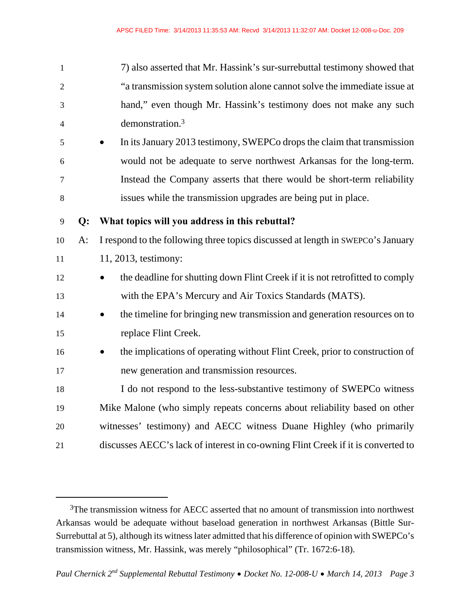| $\mathbf{1}$             |       | 7) also asserted that Mr. Hassink's sur-surrebuttal testimony showed that              |
|--------------------------|-------|----------------------------------------------------------------------------------------|
| $\overline{2}$           |       | "a transmission system solution alone cannot solve the immediate issue at              |
| 3                        |       | hand," even though Mr. Hassink's testimony does not make any such                      |
| $\overline{\mathcal{A}}$ |       | demonstration. <sup>3</sup>                                                            |
| 5                        |       | In its January 2013 testimony, SWEPCo drops the claim that transmission                |
| 6                        |       | would not be adequate to serve northwest Arkansas for the long-term.                   |
| $\tau$                   |       | Instead the Company asserts that there would be short-term reliability                 |
| $8\,$                    |       | issues while the transmission upgrades are being put in place.                         |
| 9                        | Q:    | What topics will you address in this rebuttal?                                         |
| 10                       | $A$ : | I respond to the following three topics discussed at length in SWEPCo's January        |
| 11                       |       | 11, 2013, testimony:                                                                   |
| 12                       |       | the deadline for shutting down Flint Creek if it is not retrofitted to comply          |
| 13                       |       | with the EPA's Mercury and Air Toxics Standards (MATS).                                |
| 14                       |       | the timeline for bringing new transmission and generation resources on to<br>$\bullet$ |
| 15                       |       | replace Flint Creek.                                                                   |
| 16                       |       | the implications of operating without Flint Creek, prior to construction of            |
| 17                       |       | new generation and transmission resources.                                             |
| 18                       |       | I do not respond to the less-substantive testimony of SWEPCo witness                   |
| 19                       |       | Mike Malone (who simply repeats concerns about reliability based on other              |
| 20                       |       | witnesses' testimony) and AECC witness Duane Highley (who primarily                    |
| 21                       |       | discusses AECC's lack of interest in co-owning Flint Creek if it is converted to       |

<sup>&</sup>lt;sup>3</sup>The transmission witness for AECC asserted that no amount of transmission into northwest Arkansas would be adequate without baseload generation in northwest Arkansas (Bittle Sur-Surrebuttal at 5), although its witness later admitted that his difference of opinion with SWEPCo's transmission witness, Mr. Hassink, was merely "philosophical" (Tr. 1672:6-18).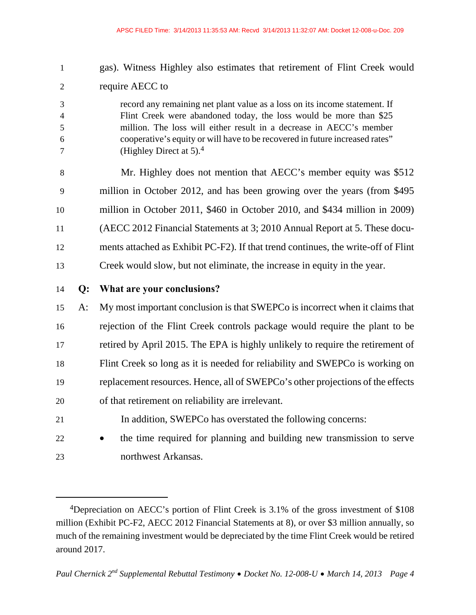- 1 gas). Witness Highley also estimates that retirement of Flint Creek would 2 require AECC to 3 record any remaining net plant value as a loss on its income statement. If 4 Flint Creek were abandoned today, the loss would be more than \$25 5 million. The loss will either result in a decrease in AECC's member 6 cooperative's equity or will have to be recovered in future increased rates"  $7 \qquad \qquad$  (Highley Direct at 5).<sup>4</sup> 8 Mr. Highley does not mention that AECC's member equity was \$512 9 million in October 2012, and has been growing over the years (from \$495 10 million in October 2011, \$460 in October 2010, and \$434 million in 2009) 11 (AECC 2012 Financial Statements at 3; 2010 Annual Report at 5. These docu-12 ments attached as Exhibit PC-F2). If that trend continues, the write-off of Flint 13 Creek would slow, but not eliminate, the increase in equity in the year. 14 **Q: What are your conclusions?**  15 A: My most important conclusion is that SWEPCo is incorrect when it claims that 16 rejection of the Flint Creek controls package would require the plant to be 17 retired by April 2015. The EPA is highly unlikely to require the retirement of 18 Flint Creek so long as it is needed for reliability and SWEPCo is working on 19 replacement resources. Hence, all of SWEPCo's other projections of the effects 20 of that retirement on reliability are irrelevant. 21 In addition, SWEPCo has overstated the following concerns:
- 22 **the time required for planning and building new transmission to serve** 23 northwest Arkansas.

<sup>4</sup>Depreciation on AECC's portion of Flint Creek is 3.1% of the gross investment of \$108 million (Exhibit PC-F2, AECC 2012 Financial Statements at 8), or over \$3 million annually, so much of the remaining investment would be depreciated by the time Flint Creek would be retired around 2017.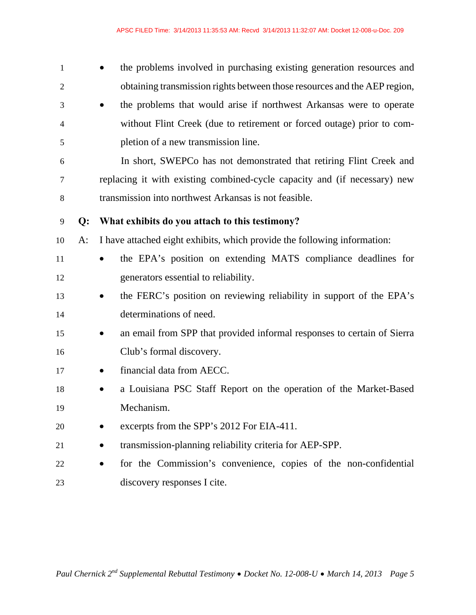| 1              |       | the problems involved in purchasing existing generation resources and     |
|----------------|-------|---------------------------------------------------------------------------|
| $\overline{2}$ |       | obtaining transmission rights between those resources and the AEP region, |
| 3              |       | the problems that would arise if northwest Arkansas were to operate       |
| $\overline{4}$ |       | without Flint Creek (due to retirement or forced outage) prior to com-    |
| 5              |       | pletion of a new transmission line.                                       |
| 6              |       | In short, SWEPCo has not demonstrated that retiring Flint Creek and       |
| 7              |       | replacing it with existing combined-cycle capacity and (if necessary) new |
| 8              |       | transmission into northwest Arkansas is not feasible.                     |
| 9              | Q:    | What exhibits do you attach to this testimony?                            |
| 10             | $A$ : | I have attached eight exhibits, which provide the following information:  |
| 11             |       | the EPA's position on extending MATS compliance deadlines for             |
| 12             |       | generators essential to reliability.                                      |
| 13             |       | the FERC's position on reviewing reliability in support of the EPA's      |
| 14             |       | determinations of need.                                                   |
| 15             |       | an email from SPP that provided informal responses to certain of Sierra   |
| 16             |       | Club's formal discovery.                                                  |
| 17             |       | financial data from AECC.                                                 |
| 18             |       | a Louisiana PSC Staff Report on the operation of the Market-Based         |
| 19             |       | Mechanism.                                                                |
| 20             |       | excerpts from the SPP's 2012 For EIA-411.                                 |
| 21             |       | transmission-planning reliability criteria for AEP-SPP.                   |
| 22             |       | for the Commission's convenience, copies of the non-confidential          |
| 23             |       | discovery responses I cite.                                               |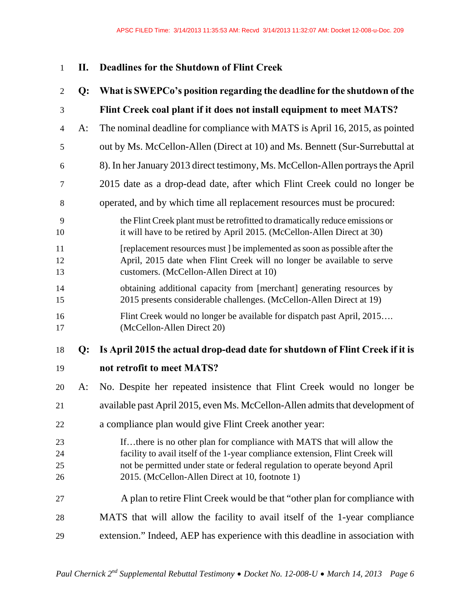### 1 **II. Deadlines for the Shutdown of Flint Creek**

| $\mathfrak{2}$       | $Q$ : | What is SWEPCo's position regarding the deadline for the shutdown of the                                                                                                                                                                                                                |
|----------------------|-------|-----------------------------------------------------------------------------------------------------------------------------------------------------------------------------------------------------------------------------------------------------------------------------------------|
| 3                    |       | Flint Creek coal plant if it does not install equipment to meet MATS?                                                                                                                                                                                                                   |
| $\overline{4}$       | A:    | The nominal deadline for compliance with MATS is April 16, 2015, as pointed                                                                                                                                                                                                             |
| 5                    |       | out by Ms. McCellon-Allen (Direct at 10) and Ms. Bennett (Sur-Surrebuttal at                                                                                                                                                                                                            |
| 6                    |       | 8). In her January 2013 direct testimony, Ms. McCellon-Allen portrays the April                                                                                                                                                                                                         |
| 7                    |       | 2015 date as a drop-dead date, after which Flint Creek could no longer be                                                                                                                                                                                                               |
| 8                    |       | operated, and by which time all replacement resources must be procured:                                                                                                                                                                                                                 |
| 9<br>10              |       | the Flint Creek plant must be retrofitted to dramatically reduce emissions or<br>it will have to be retired by April 2015. (McCellon-Allen Direct at 30)                                                                                                                                |
| 11<br>12<br>13       |       | [replacement resources must] be implemented as soon as possible after the<br>April, 2015 date when Flint Creek will no longer be available to serve<br>customers. (McCellon-Allen Direct at 10)                                                                                         |
| 14<br>15             |       | obtaining additional capacity from [merchant] generating resources by<br>2015 presents considerable challenges. (McCellon-Allen Direct at 19)                                                                                                                                           |
| 16<br>17             |       | Flint Creek would no longer be available for dispatch past April, 2015<br>(McCellon-Allen Direct 20)                                                                                                                                                                                    |
| 18                   | Q:    | Is April 2015 the actual drop-dead date for shutdown of Flint Creek if it is                                                                                                                                                                                                            |
| 19                   |       | not retrofit to meet MATS?                                                                                                                                                                                                                                                              |
| 20                   | A:    | No. Despite her repeated insistence that Flint Creek would no longer be                                                                                                                                                                                                                 |
| 21                   |       | available past April 2015, even Ms. McCellon-Allen admits that development of                                                                                                                                                                                                           |
| 22                   |       | a compliance plan would give Flint Creek another year:                                                                                                                                                                                                                                  |
| 23<br>24<br>25<br>26 |       | Ifthere is no other plan for compliance with MATS that will allow the<br>facility to avail itself of the 1-year compliance extension, Flint Creek will<br>not be permitted under state or federal regulation to operate beyond April<br>2015. (McCellon-Allen Direct at 10, footnote 1) |
| 27                   |       | A plan to retire Flint Creek would be that "other plan for compliance with                                                                                                                                                                                                              |
| 28                   |       | MATS that will allow the facility to avail itself of the 1-year compliance                                                                                                                                                                                                              |
| 29                   |       | extension." Indeed, AEP has experience with this deadline in association with                                                                                                                                                                                                           |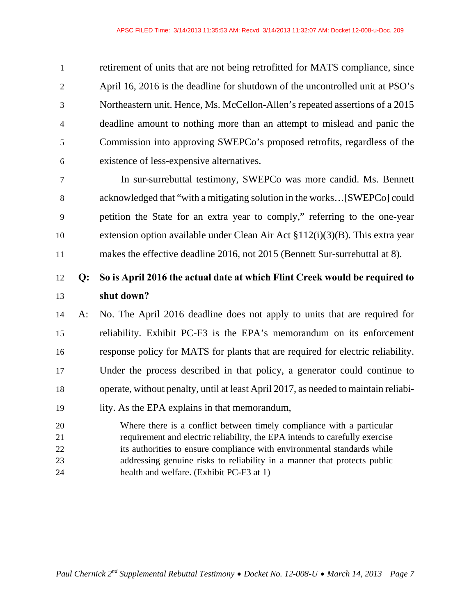1 retirement of units that are not being retrofitted for MATS compliance, since 2 April 16, 2016 is the deadline for shutdown of the uncontrolled unit at PSO's 3 Northeastern unit. Hence, Ms. McCellon-Allen's repeated assertions of a 2015 4 deadline amount to nothing more than an attempt to mislead and panic the 5 Commission into approving SWEPCo's proposed retrofits, regardless of the 6 existence of less-expensive alternatives.

7 In sur-surrebuttal testimony, SWEPCo was more candid. Ms. Bennett 8 acknowledged that "with a mitigating solution in the works…[SWEPCo] could 9 petition the State for an extra year to comply," referring to the one-year 10 extension option available under Clean Air Act §112(i)(3)(B). This extra year 11 makes the effective deadline 2016, not 2015 (Bennett Sur-surrebuttal at 8).

### 12 **Q: So is April 2016 the actual date at which Flint Creek would be required to**  13 **shut down?**

14 A: No. The April 2016 deadline does not apply to units that are required for 15 reliability. Exhibit PC-F3 is the EPA's memorandum on its enforcement 16 response policy for MATS for plants that are required for electric reliability. 17 Under the process described in that policy, a generator could continue to 18 operate, without penalty, until at least April 2017, as needed to maintain reliabi-

- 19 lity. As the EPA explains in that memorandum,
- 20 Where there is a conflict between timely compliance with a particular 21 requirement and electric reliability, the EPA intends to carefully exercise 22 its authorities to ensure compliance with environmental standards while 23 addressing genuine risks to reliability in a manner that protects public 24 health and welfare. (Exhibit PC-F3 at 1)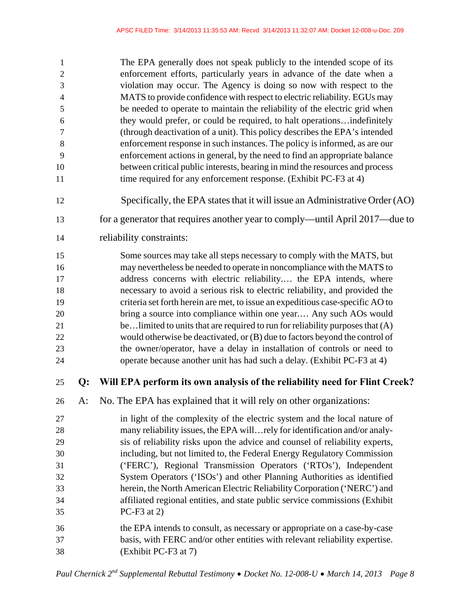| $\mathbf{1}$     |    | The EPA generally does not speak publicly to the intended scope of its                              |
|------------------|----|-----------------------------------------------------------------------------------------------------|
| $\mathfrak{2}$   |    | enforcement efforts, particularly years in advance of the date when a                               |
| $\mathfrak{Z}$   |    | violation may occur. The Agency is doing so now with respect to the                                 |
| $\overline{4}$   |    | MATS to provide confidence with respect to electric reliability. EGUs may                           |
| 5                |    | be needed to operate to maintain the reliability of the electric grid when                          |
| 6                |    | they would prefer, or could be required, to halt operationsindefinitely                             |
| $\boldsymbol{7}$ |    | (through deactivation of a unit). This policy describes the EPA's intended                          |
| $\,8\,$          |    | enforcement response in such instances. The policy is informed, as are our                          |
| 9                |    | enforcement actions in general, by the need to find an appropriate balance                          |
| 10               |    | between critical public interests, bearing in mind the resources and process                        |
| 11               |    | time required for any enforcement response. (Exhibit PC-F3 at 4)                                    |
| 12               |    | Specifically, the EPA states that it will issue an Administrative Order (AO)                        |
| 13               |    | for a generator that requires another year to comply—until April 2017—due to                        |
| 14               |    | reliability constraints:                                                                            |
| 15               |    | Some sources may take all steps necessary to comply with the MATS, but                              |
| 16               |    | may nevertheless be needed to operate in noncompliance with the MATS to                             |
| 17               |    | address concerns with electric reliability the EPA intends, where                                   |
| 18               |    | necessary to avoid a serious risk to electric reliability, and provided the                         |
| 19               |    | criteria set forth herein are met, to issue an expeditious case-specific AO to                      |
| $20\,$           |    | bring a source into compliance within one year Any such AOs would                                   |
| 21               |    | belimited to units that are required to run for reliability purposes that (A)                       |
| 22               |    | would otherwise be deactivated, or (B) due to factors beyond the control of                         |
| 23               |    | the owner/operator, have a delay in installation of controls or need to                             |
| 24               |    | operate because another unit has had such a delay. (Exhibit PC-F3 at 4)                             |
| 25               | Q: | Will EPA perform its own analysis of the reliability need for Flint Creek?                          |
| 26               | A: | No. The EPA has explained that it will rely on other organizations:                                 |
| 27               |    | in light of the complexity of the electric system and the local nature of                           |
| 28               |    | many reliability issues, the EPA willrely for identification and/or analy-                          |
| 29               |    | sis of reliability risks upon the advice and counsel of reliability experts,                        |
| 30               |    | including, but not limited to, the Federal Energy Regulatory Commission                             |
|                  |    |                                                                                                     |
| 31               |    | ('FERC'), Regional Transmission Operators ('RTOs'), Independent                                     |
| 32               |    | System Operators ('ISOs') and other Planning Authorities as identified                              |
| 33               |    | herein, the North American Electric Reliability Corporation ('NERC') and                            |
| 34               |    | affiliated regional entities, and state public service commissions (Exhibit                         |
| 35               |    | $PC-F3$ at 2)                                                                                       |
| 36               |    | the EPA intends to consult, as necessary or appropriate on a case-by-case                           |
| 37               |    | basis, with FERC and/or other entities with relevant reliability expertise.<br>(Exhibit PC-F3 at 7) |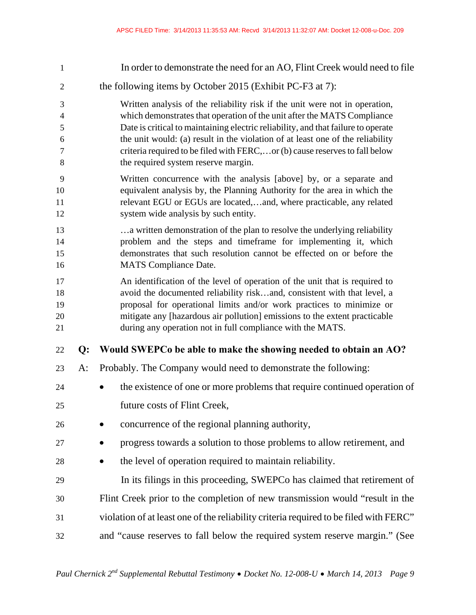1 In order to demonstrate the need for an AO, Flint Creek would need to file 2 the following items by October 2015 (Exhibit PC-F3 at 7): 3 Written analysis of the reliability risk if the unit were not in operation, 4 which demonstrates that operation of the unit after the MATS Compliance 5 Date is critical to maintaining electric reliability, and that failure to operate 6 the unit would: (a) result in the violation of at least one of the reliability 7 criteria required to be filed with FERC,…or (b) cause reserves to fall below 8 the required system reserve margin. 9 Written concurrence with the analysis [above] by, or a separate and 10 equivalent analysis by, the Planning Authority for the area in which the 11 relevant EGU or EGUs are located,…and, where practicable, any related 12 system wide analysis by such entity. 13 …a written demonstration of the plan to resolve the underlying reliability 14 problem and the steps and timeframe for implementing it, which 15 demonstrates that such resolution cannot be effected on or before the 16 MATS Compliance Date. 17 An identification of the level of operation of the unit that is required to 18 avoid the documented reliability risk…and, consistent with that level, a 19 proposal for operational limits and/or work practices to minimize or 20 mitigate any [hazardous air pollution] emissions to the extent practicable 21 during any operation not in full compliance with the MATS. 22 **Q: Would SWEPCo be able to make the showing needed to obtain an AO?**  23 A: Probably. The Company would need to demonstrate the following: 24 **the existence of one or more problems that require continued operation of** 25 future costs of Flint Creek, 26 • concurrence of the regional planning authority, **27** • progress towards a solution to those problems to allow retirement, and 28 **the level of operation required to maintain reliability.** 29 In its filings in this proceeding, SWEPCo has claimed that retirement of 30 Flint Creek prior to the completion of new transmission would "result in the 31 violation of at least one of the reliability criteria required to be filed with FERC" 32 and "cause reserves to fall below the required system reserve margin." (See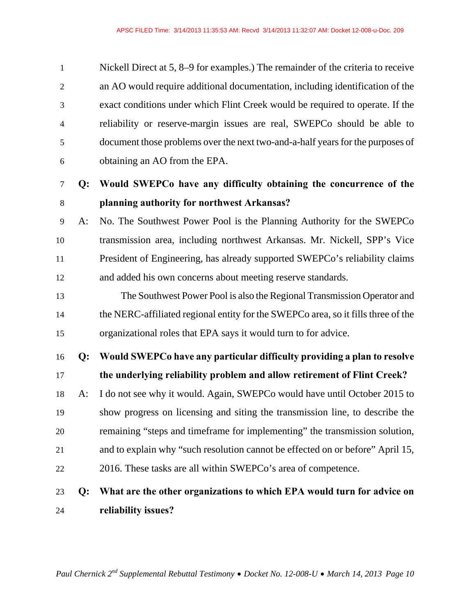| $\mathbf{1}$   | Nickell Direct at 5, 8–9 for examples.) The remainder of the criteria to receive |
|----------------|----------------------------------------------------------------------------------|
| 2              | an AO would require additional documentation, including identification of the    |
| 3              | exact conditions under which Flint Creek would be required to operate. If the    |
| $\overline{4}$ | reliability or reserve-margin issues are real, SWEPCo should be able to          |
| 5              | document those problems over the next two-and-a-half years for the purposes of   |
| 6              | obtaining an AO from the EPA.                                                    |

### 7 **Q: Would SWEPCo have any difficulty obtaining the concurrence of the**  8 **planning authority for northwest Arkansas?**

- 9 A: No. The Southwest Power Pool is the Planning Authority for the SWEPCo 10 transmission area, including northwest Arkansas. Mr. Nickell, SPP's Vice 11 President of Engineering, has already supported SWEPCo's reliability claims 12 and added his own concerns about meeting reserve standards.
- 13 The Southwest Power Pool is also the Regional Transmission Operator and 14 the NERC-affiliated regional entity for the SWEPCo area, so it fills three of the 15 organizational roles that EPA says it would turn to for advice.

16 **Q: Would SWEPCo have any particular difficulty providing a plan to resolve** 

- 17 **the underlying reliability problem and allow retirement of Flint Creek?**
- 18 A: I do not see why it would. Again, SWEPCo would have until October 2015 to 19 show progress on licensing and siting the transmission line, to describe the 20 remaining "steps and timeframe for implementing" the transmission solution, 21 and to explain why "such resolution cannot be effected on or before" April 15, 22 2016. These tasks are all within SWEPCo's area of competence.

### 23 **Q: What are the other organizations to which EPA would turn for advice on**  24 **reliability issues?**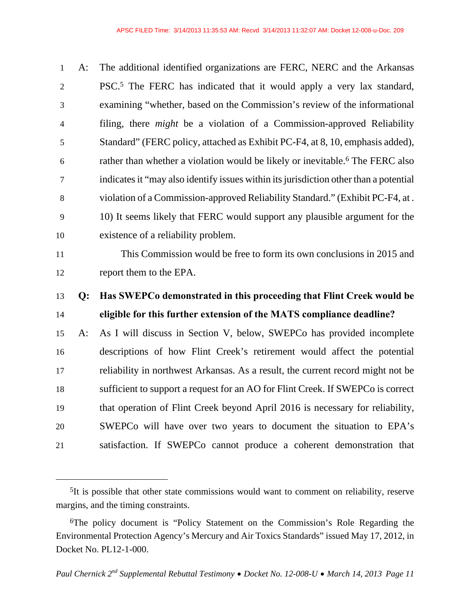1 A: The additional identified organizations are FERC, NERC and the Arkansas 2 PSC.<sup>5</sup> The FERC has indicated that it would apply a very lax standard, 3 examining "whether, based on the Commission's review of the informational 4 filing, there *might* be a violation of a Commission-approved Reliability 5 Standard" (FERC policy, attached as Exhibit PC-F4, at 8, 10, emphasis added), rather than whether a violation would be likely or inevitable.6 6 The FERC also 7 indicates it "may also identify issues within its jurisdiction other than a potential 8 violation of a Commission-approved Reliability Standard." (Exhibit PC-F4, at . 9 10) It seems likely that FERC would support any plausible argument for the 10 existence of a reliability problem.

 $\overline{a}$ 

11 This Commission would be free to form its own conclusions in 2015 and 12 report them to the EPA.

### 13 **Q: Has SWEPCo demonstrated in this proceeding that Flint Creek would be**  14 **eligible for this further extension of the MATS compliance deadline?**

15 A: As I will discuss in Section V, below, SWEPCo has provided incomplete 16 descriptions of how Flint Creek's retirement would affect the potential 17 reliability in northwest Arkansas. As a result, the current record might not be 18 sufficient to support a request for an AO for Flint Creek. If SWEPCo is correct 19 that operation of Flint Creek beyond April 2016 is necessary for reliability, 20 SWEPCo will have over two years to document the situation to EPA's 21 satisfaction. If SWEPCo cannot produce a coherent demonstration that

<sup>5</sup>It is possible that other state commissions would want to comment on reliability, reserve margins, and the timing constraints.

<sup>6</sup>The policy document is "Policy Statement on the Commission's Role Regarding the Environmental Protection Agency's Mercury and Air Toxics Standards" issued May 17, 2012, in Docket No. PL12-1-000.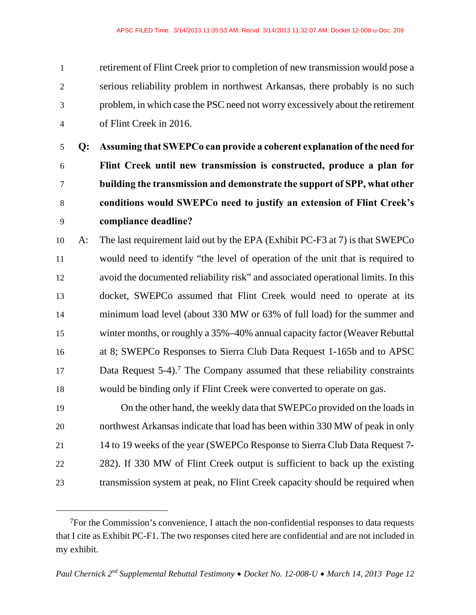1 retirement of Flint Creek prior to completion of new transmission would pose a 2 serious reliability problem in northwest Arkansas, there probably is no such 3 problem, in which case the PSC need not worry excessively about the retirement 4 of Flint Creek in 2016.

**Q: Assuming that SWEPCo can provide a coherent explanation of the need for Flint Creek until new transmission is constructed, produce a plan for building the transmission and demonstrate the support of SPP, what other conditions would SWEPCo need to justify an extension of Flint Creek's compliance deadline?** 

10 A: The last requirement laid out by the EPA (Exhibit PC-F3 at 7) is that SWEPCo 11 would need to identify "the level of operation of the unit that is required to 12 avoid the documented reliability risk" and associated operational limits. In this 13 docket, SWEPCo assumed that Flint Creek would need to operate at its 14 minimum load level (about 330 MW or 63% of full load) for the summer and 15 winter months, or roughly a 35%–40% annual capacity factor (Weaver Rebuttal 16 at 8; SWEPCo Responses to Sierra Club Data Request 1-165b and to APSC 17 Data Request 5-4).<sup>7</sup> The Company assumed that these reliability constraints 18 would be binding only if Flint Creek were converted to operate on gas.

19 On the other hand, the weekly data that SWEPCo provided on the loads in 20 northwest Arkansas indicate that load has been within 330 MW of peak in only 21 14 to 19 weeks of the year (SWEPCo Response to Sierra Club Data Request 7- 22 282). If 330 MW of Flint Creek output is sufficient to back up the existing 23 transmission system at peak, no Flint Creek capacity should be required when

<sup>7</sup>For the Commission's convenience, I attach the non-confidential responses to data requests that I cite as Exhibit PC-F1. The two responses cited here are confidential and are not included in my exhibit.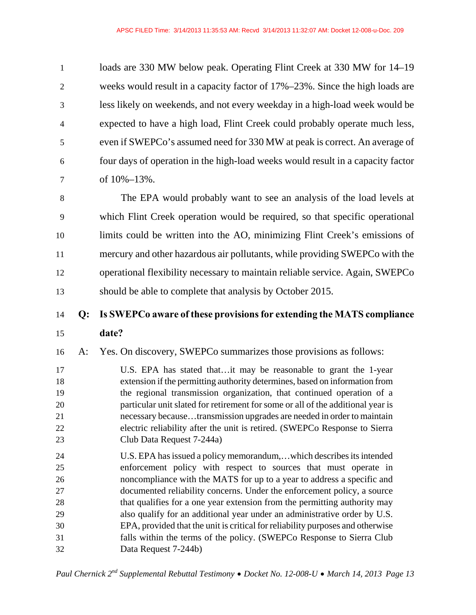1 loads are 330 MW below peak. Operating Flint Creek at 330 MW for 14–19 2 weeks would result in a capacity factor of 17%–23%. Since the high loads are 3 less likely on weekends, and not every weekday in a high-load week would be 4 expected to have a high load, Flint Creek could probably operate much less, 5 even if SWEPCo's assumed need for 330 MW at peak is correct. An average of 6 four days of operation in the high-load weeks would result in a capacity factor 7 of 10%–13%.

8 The EPA would probably want to see an analysis of the load levels at 9 which Flint Creek operation would be required, so that specific operational 10 limits could be written into the AO, minimizing Flint Creek's emissions of 11 mercury and other hazardous air pollutants, while providing SWEPCo with the 12 operational flexibility necessary to maintain reliable service. Again, SWEPCo 13 should be able to complete that analysis by October 2015.

### 14 **Q: Is SWEPCo aware of these provisions for extending the MATS compliance**

15 **date?** 

16 A: Yes. On discovery, SWEPCo summarizes those provisions as follows:

17 U.S. EPA has stated that…it may be reasonable to grant the 1-year 18 extension if the permitting authority determines, based on information from 19 the regional transmission organization, that continued operation of a 20 particular unit slated for retirement for some or all of the additional year is 21 necessary because…transmission upgrades are needed in order to maintain 22 electric reliability after the unit is retired. (SWEPCo Response to Sierra 23 Club Data Request 7-244a)

24 U.S. EPA has issued a policy memorandum,…which describes its intended 25 enforcement policy with respect to sources that must operate in 26 noncompliance with the MATS for up to a year to address a specific and 27 documented reliability concerns. Under the enforcement policy, a source 28 that qualifies for a one year extension from the permitting authority may 29 also qualify for an additional year under an administrative order by U.S. 30 EPA, provided that the unit is critical for reliability purposes and otherwise 31 falls within the terms of the policy. (SWEPCo Response to Sierra Club 32 Data Request 7-244b)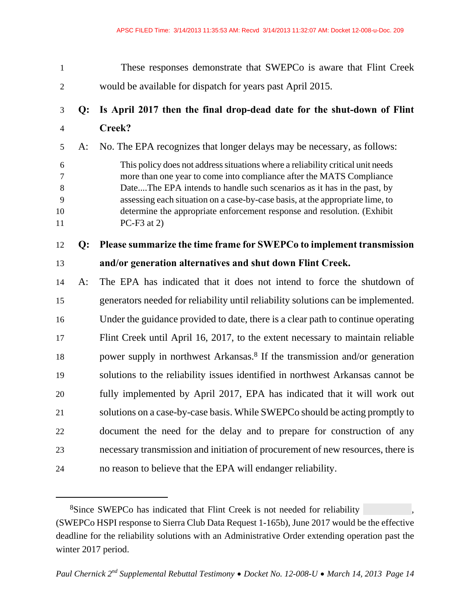1 These responses demonstrate that SWEPCo is aware that Flint Creek 2 would be available for dispatch for years past April 2015. 3 **Q: Is April 2017 then the final drop-dead date for the shut-down of Flint**  4 **Creek?**  5 A: No. The EPA recognizes that longer delays may be necessary, as follows: 6 This policy does not address situations where a reliability critical unit needs 7 more than one year to come into compliance after the MATS Compliance 8 Date....The EPA intends to handle such scenarios as it has in the past, by 9 assessing each situation on a case-by-case basis, at the appropriate lime, to 10 determine the appropriate enforcement response and resolution. (Exhibit 11 PC-F3 at 2) 12 **Q: Please summarize the time frame for SWEPCo to implement transmission**  13 **and/or generation alternatives and shut down Flint Creek.**  14 A: The EPA has indicated that it does not intend to force the shutdown of 15 generators needed for reliability until reliability solutions can be implemented. 16 Under the guidance provided to date, there is a clear path to continue operating 17 Flint Creek until April 16, 2017, to the extent necessary to maintain reliable power supply in northwest Arkansas.8 18 If the transmission and/or generation 19 solutions to the reliability issues identified in northwest Arkansas cannot be 20 fully implemented by April 2017, EPA has indicated that it will work out 21 solutions on a case-by-case basis. While SWEPCo should be acting promptly to 22 document the need for the delay and to prepare for construction of any 23 necessary transmission and initiation of procurement of new resources, there is 24 no reason to believe that the EPA will endanger reliability.

<sup>8</sup>Since SWEPCo has indicated that Flint Creek is not needed for reliability , (SWEPCo HSPI response to Sierra Club Data Request 1-165b), June 2017 would be the effective deadline for the reliability solutions with an Administrative Order extending operation past the winter 2017 period.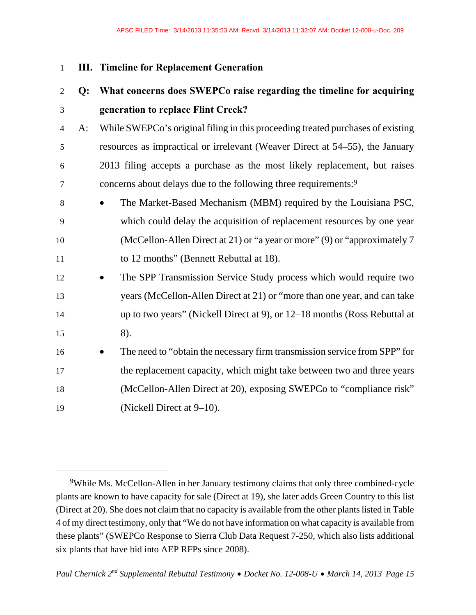#### 1 **III. Timeline for Replacement Generation**

 $\overline{a}$ 

### 2 **Q: What concerns does SWEPCo raise regarding the timeline for acquiring**  3 **generation to replace Flint Creek?**

4 A: While SWEPCo's original filing in this proceeding treated purchases of existing 5 resources as impractical or irrelevant (Weaver Direct at 54–55), the January 6 2013 filing accepts a purchase as the most likely replacement, but raises concerns about delays due to the following three requirements:9 7

- 8 The Market-Based Mechanism (MBM) required by the Louisiana PSC, 9 which could delay the acquisition of replacement resources by one year 10 (McCellon-Allen Direct at 21) or "a year or more" (9) or "approximately 7 11 to 12 months" (Bennett Rebuttal at 18).
- 12 The SPP Transmission Service Study process which would require two 13 years (McCellon-Allen Direct at 21) or "more than one year, and can take 14 up to two years" (Nickell Direct at 9), or 12–18 months (Ross Rebuttal at 15 8).
- 16 **The need to "obtain the necessary firm transmission service from SPP" for** 17 the replacement capacity, which might take between two and three years 18 (McCellon-Allen Direct at 20), exposing SWEPCo to "compliance risk" 19 (Nickell Direct at 9–10).

<sup>9</sup>While Ms. McCellon-Allen in her January testimony claims that only three combined-cycle plants are known to have capacity for sale (Direct at 19), she later adds Green Country to this list (Direct at 20). She does not claim that no capacity is available from the other plants listed in Table 4 of my direct testimony, only that "We do not have information on what capacity is available from these plants" (SWEPCo Response to Sierra Club Data Request 7-250, which also lists additional six plants that have bid into AEP RFPs since 2008).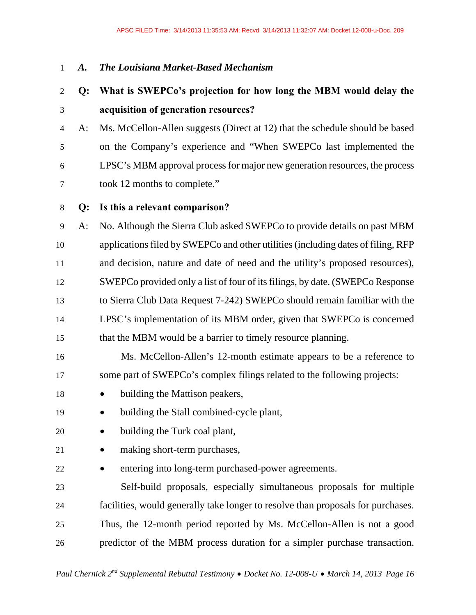#### 1 *A. The Louisiana Market-Based Mechanism*

### 2 **Q: What is SWEPCo's projection for how long the MBM would delay the**  3 **acquisition of generation resources?**

- 4 A: Ms. McCellon-Allen suggests (Direct at 12) that the schedule should be based 5 on the Company's experience and "When SWEPCo last implemented the 6 LPSC's MBM approval process for major new generation resources, the process 7 took 12 months to complete."
- 8 **Q: Is this a relevant comparison?**

9 A: No. Although the Sierra Club asked SWEPCo to provide details on past MBM 10 applications filed by SWEPCo and other utilities (including dates of filing, RFP 11 and decision, nature and date of need and the utility's proposed resources), 12 SWEPCo provided only a list of four of its filings, by date. (SWEPCo Response 13 to Sierra Club Data Request 7-242) SWEPCo should remain familiar with the 14 LPSC's implementation of its MBM order, given that SWEPCo is concerned 15 that the MBM would be a barrier to timely resource planning.

- 16 Ms. McCellon-Allen's 12-month estimate appears to be a reference to 17 some part of SWEPCo's complex filings related to the following projects:
- 18 building the Mattison peakers,
- 19 building the Stall combined-cycle plant,
- 20 building the Turk coal plant,
- 21 making short-term purchases,
- 22 **e** entering into long-term purchased-power agreements.

23 Self-build proposals, especially simultaneous proposals for multiple 24 facilities, would generally take longer to resolve than proposals for purchases. 25 Thus, the 12-month period reported by Ms. McCellon-Allen is not a good 26 predictor of the MBM process duration for a simpler purchase transaction.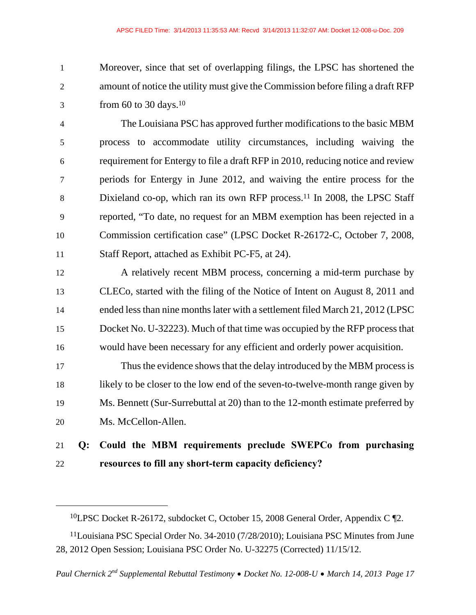1 Moreover, since that set of overlapping filings, the LPSC has shortened the 2 amount of notice the utility must give the Commission before filing a draft RFP  $3 \qquad \text{from } 60 \text{ to } 30 \text{ days.}^{10}$ 

4 The Louisiana PSC has approved further modifications to the basic MBM 5 process to accommodate utility circumstances, including waiving the 6 requirement for Entergy to file a draft RFP in 2010, reducing notice and review 7 periods for Entergy in June 2012, and waiving the entire process for the 8 Dixieland co-op, which ran its own RFP process.<sup>11</sup> In 2008, the LPSC Staff 9 reported, "To date, no request for an MBM exemption has been rejected in a 10 Commission certification case" (LPSC Docket R-26172-C, October 7, 2008, 11 Staff Report, attached as Exhibit PC-F5, at 24).

12 A relatively recent MBM process, concerning a mid-term purchase by 13 CLECo, started with the filing of the Notice of Intent on August 8, 2011 and 14 ended less than nine months later with a settlement filed March 21, 2012 (LPSC 15 Docket No. U-32223). Much of that time was occupied by the RFP process that 16 would have been necessary for any efficient and orderly power acquisition.

17 Thus the evidence shows that the delay introduced by the MBM process is 18 likely to be closer to the low end of the seven-to-twelve-month range given by 19 Ms. Bennett (Sur-Surrebuttal at 20) than to the 12-month estimate preferred by 20 Ms. McCellon-Allen.

### 21 **Q: Could the MBM requirements preclude SWEPCo from purchasing**  22 **resources to fill any short-term capacity deficiency?**

<sup>10</sup>LPSC Docket R-26172, subdocket C, October 15, 2008 General Order, Appendix C ¶2.

<sup>11</sup>Louisiana PSC Special Order No. 34-2010 (7/28/2010); Louisiana PSC Minutes from June 28, 2012 Open Session; Louisiana PSC Order No. U-32275 (Corrected) 11/15/12.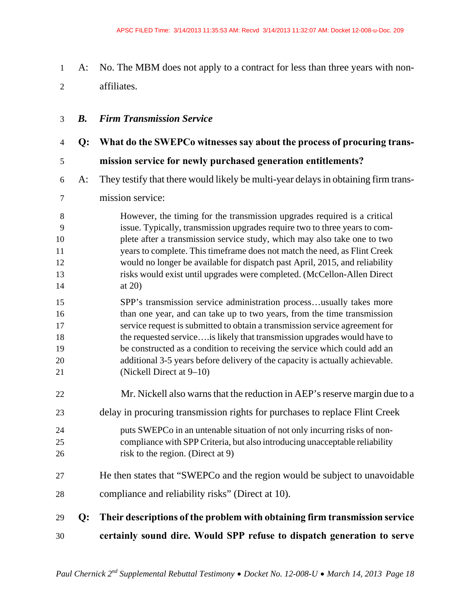- 1 A: No. The MBM does not apply to a contract for less than three years with non-2 affiliates.
- 3 *B. Firm Transmission Service*
- 4 **Q: What do the SWEPCo witnesses say about the process of procuring trans-**5 **mission service for newly purchased generation entitlements?**
- 6 A: They testify that there would likely be multi-year delays in obtaining firm trans-
- 7 mission service:
- 8 However, the timing for the transmission upgrades required is a critical 9 issue. Typically, transmission upgrades require two to three years to com-10 plete after a transmission service study, which may also take one to two 11 years to complete. This timeframe does not match the need, as Flint Creek 12 would no longer be available for dispatch past April, 2015, and reliability 13 risks would exist until upgrades were completed. (McCellon-Allen Direct 14 at 20)
- 15 SPP's transmission service administration process…usually takes more 16 than one year, and can take up to two years, from the time transmission 17 service request is submitted to obtain a transmission service agreement for 18 the requested service….is likely that transmission upgrades would have to 19 be constructed as a condition to receiving the service which could add an 20 additional 3-5 years before delivery of the capacity is actually achievable. 21 (Nickell Direct at 9–10)
- 22 Mr. Nickell also warns that the reduction in AEP's reserve margin due to a 23 delay in procuring transmission rights for purchases to replace Flint Creek 24 puts SWEPCo in an untenable situation of not only incurring risks of non-25 compliance with SPP Criteria, but also introducing unacceptable reliability 26 risk to the region. (Direct at 9) 27 He then states that "SWEPCo and the region would be subject to unavoidable 28 compliance and reliability risks" (Direct at 10).
- 29 **Q: Their descriptions of the problem with obtaining firm transmission service**  30 **certainly sound dire. Would SPP refuse to dispatch generation to serve**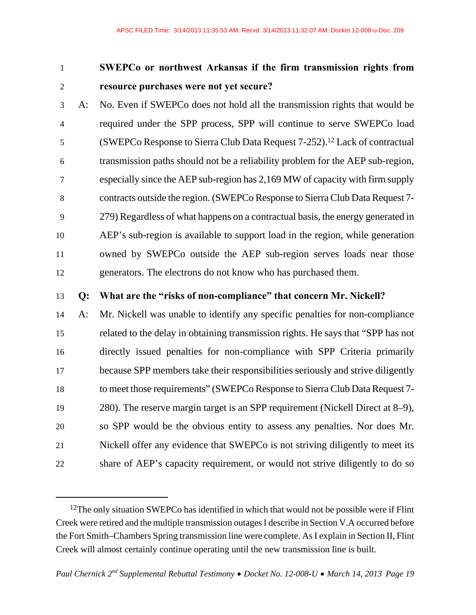$\overline{a}$ 

### 1 **SWEPCo or northwest Arkansas if the firm transmission rights from**  2 **resource purchases were not yet secure?**

3 A: No. Even if SWEPCo does not hold all the transmission rights that would be 4 required under the SPP process, SPP will continue to serve SWEPCo load 5 (SWEPCo Response to Sierra Club Data Request 7-252).<sup>12</sup> Lack of contractual 6 transmission paths should not be a reliability problem for the AEP sub-region, 7 especially since the AEP sub-region has 2,169 MW of capacity with firm supply 8 contracts outside the region. (SWEPCo Response to Sierra Club Data Request 7- 9 279) Regardless of what happens on a contractual basis, the energy generated in 10 AEP's sub-region is available to support load in the region, while generation 11 owned by SWEPCo outside the AEP sub-region serves loads near those 12 generators. The electrons do not know who has purchased them.

#### 13 **Q: What are the "risks of non-compliance" that concern Mr. Nickell?**

14 A: Mr. Nickell was unable to identify any specific penalties for non-compliance 15 related to the delay in obtaining transmission rights. He says that "SPP has not 16 directly issued penalties for non-compliance with SPP Criteria primarily 17 because SPP members take their responsibilities seriously and strive diligently 18 to meet those requirements" (SWEPCo Response to Sierra Club Data Request 7- 19 280). The reserve margin target is an SPP requirement (Nickell Direct at 8–9), 20 so SPP would be the obvious entity to assess any penalties. Nor does Mr. 21 Nickell offer any evidence that SWEPCo is not striving diligently to meet its 22 share of AEP's capacity requirement, or would not strive diligently to do so

<sup>&</sup>lt;sup>12</sup>The only situation SWEPCo has identified in which that would not be possible were if Flint Creek were retired and the multiple transmission outages I describe in Section V.A occurred before the Fort Smith–Chambers Spring transmission line were complete. As I explain in Section II, Flint Creek will almost certainly continue operating until the new transmission line is built.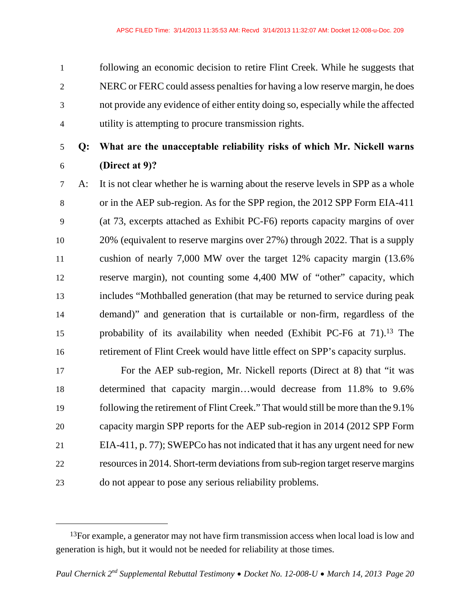1 following an economic decision to retire Flint Creek. While he suggests that 2 NERC or FERC could assess penalties for having a low reserve margin, he does 3 not provide any evidence of either entity doing so, especially while the affected 4 utility is attempting to procure transmission rights.

5 **Q: What are the unacceptable reliability risks of which Mr. Nickell warns**  6 **(Direct at 9)?** 

7 A: It is not clear whether he is warning about the reserve levels in SPP as a whole 8 or in the AEP sub-region. As for the SPP region, the 2012 SPP Form EIA-411 9 (at 73, excerpts attached as Exhibit PC-F6) reports capacity margins of over 10 20% (equivalent to reserve margins over 27%) through 2022. That is a supply 11 cushion of nearly 7,000 MW over the target 12% capacity margin (13.6% 12 reserve margin), not counting some 4,400 MW of "other" capacity, which 13 includes "Mothballed generation (that may be returned to service during peak 14 demand)" and generation that is curtailable or non-firm, regardless of the 15 probability of its availability when needed (Exhibit PC-F6 at 71).<sup>13</sup> The 16 retirement of Flint Creek would have little effect on SPP's capacity surplus.

17 For the AEP sub-region, Mr. Nickell reports (Direct at 8) that "it was 18 determined that capacity margin…would decrease from 11.8% to 9.6% 19 following the retirement of Flint Creek." That would still be more than the 9.1% 20 capacity margin SPP reports for the AEP sub-region in 2014 (2012 SPP Form 21 EIA-411, p. 77); SWEPCo has not indicated that it has any urgent need for new 22 resources in 2014. Short-term deviations from sub-region target reserve margins 23 do not appear to pose any serious reliability problems.

<sup>&</sup>lt;sup>13</sup>For example, a generator may not have firm transmission access when local load is low and generation is high, but it would not be needed for reliability at those times.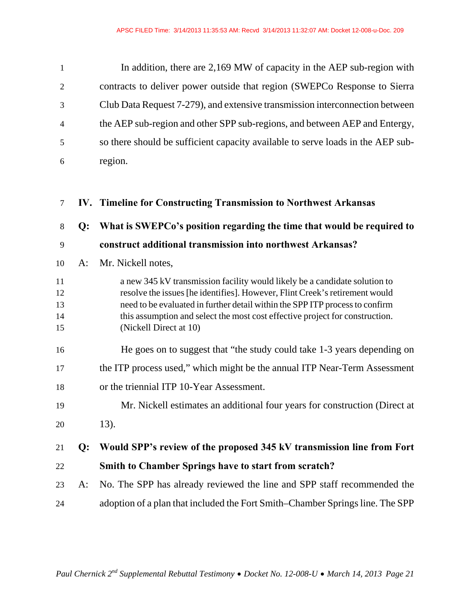| $\mathbf{1}$   | In addition, there are 2,169 MW of capacity in the AEP sub-region with          |
|----------------|---------------------------------------------------------------------------------|
| $\overline{2}$ | contracts to deliver power outside that region (SWEPCo Response to Sierra       |
| 3              | Club Data Request 7-279), and extensive transmission interconnection between    |
| $\overline{4}$ | the AEP sub-region and other SPP sub-regions, and between AEP and Entergy,      |
| 5              | so there should be sufficient capacity available to serve loads in the AEP sub- |
| 6              | region.                                                                         |

| $\tau$                     |       | IV. Timeline for Constructing Transmission to Northwest Arkansas                                                                                                                                                                                                                                                                                    |
|----------------------------|-------|-----------------------------------------------------------------------------------------------------------------------------------------------------------------------------------------------------------------------------------------------------------------------------------------------------------------------------------------------------|
| 8                          | Q:    | What is SWEPCo's position regarding the time that would be required to                                                                                                                                                                                                                                                                              |
| 9                          |       | construct additional transmission into northwest Arkansas?                                                                                                                                                                                                                                                                                          |
| 10                         | $A$ : | Mr. Nickell notes,                                                                                                                                                                                                                                                                                                                                  |
| 11<br>12<br>13<br>14<br>15 |       | a new 345 kV transmission facility would likely be a candidate solution to<br>resolve the issues [he identifies]. However, Flint Creek's retirement would<br>need to be evaluated in further detail within the SPP ITP process to confirm<br>this assumption and select the most cost effective project for construction.<br>(Nickell Direct at 10) |
| 16                         |       | He goes on to suggest that "the study could take 1-3 years depending on                                                                                                                                                                                                                                                                             |
| 17                         |       | the ITP process used," which might be the annual ITP Near-Term Assessment                                                                                                                                                                                                                                                                           |
| 18                         |       | or the triennial ITP 10-Year Assessment.                                                                                                                                                                                                                                                                                                            |
| 19                         |       | Mr. Nickell estimates an additional four years for construction (Direct at                                                                                                                                                                                                                                                                          |
| 20                         |       | 13).                                                                                                                                                                                                                                                                                                                                                |
| 21                         | $Q$ : | Would SPP's review of the proposed 345 kV transmission line from Fort                                                                                                                                                                                                                                                                               |
| 22                         |       | <b>Smith to Chamber Springs have to start from scratch?</b>                                                                                                                                                                                                                                                                                         |
| 23                         | A:    | No. The SPP has already reviewed the line and SPP staff recommended the                                                                                                                                                                                                                                                                             |
| 24                         |       | adoption of a plan that included the Fort Smith–Chamber Springs line. The SPP                                                                                                                                                                                                                                                                       |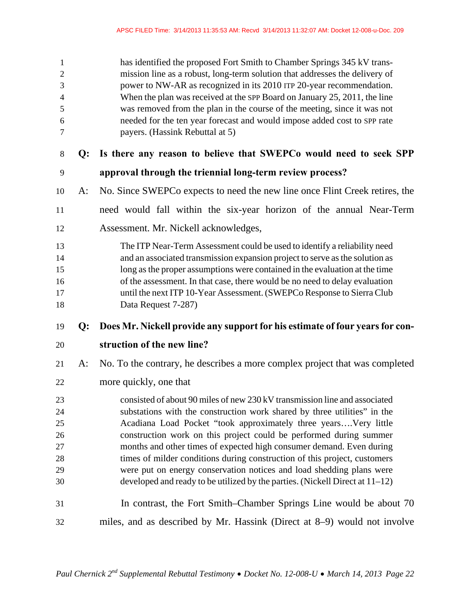| $\mathbf{1}$<br>$\sqrt{2}$<br>$\mathfrak{Z}$<br>$\overline{4}$<br>5<br>6<br>$\tau$ |       | has identified the proposed Fort Smith to Chamber Springs 345 kV trans-<br>mission line as a robust, long-term solution that addresses the delivery of<br>power to NW-AR as recognized in its 2010 ITP 20-year recommendation.<br>When the plan was received at the SPP Board on January 25, 2011, the line<br>was removed from the plan in the course of the meeting, since it was not<br>needed for the ten year forecast and would impose added cost to SPP rate<br>payers. (Hassink Rebuttal at 5)                                                                                                          |
|------------------------------------------------------------------------------------|-------|-----------------------------------------------------------------------------------------------------------------------------------------------------------------------------------------------------------------------------------------------------------------------------------------------------------------------------------------------------------------------------------------------------------------------------------------------------------------------------------------------------------------------------------------------------------------------------------------------------------------|
| $8\,$                                                                              | Q:    | Is there any reason to believe that SWEPCo would need to seek SPP                                                                                                                                                                                                                                                                                                                                                                                                                                                                                                                                               |
| 9                                                                                  |       | approval through the triennial long-term review process?                                                                                                                                                                                                                                                                                                                                                                                                                                                                                                                                                        |
| 10                                                                                 | A:    | No. Since SWEPCo expects to need the new line once Flint Creek retires, the                                                                                                                                                                                                                                                                                                                                                                                                                                                                                                                                     |
| 11                                                                                 |       | need would fall within the six-year horizon of the annual Near-Term                                                                                                                                                                                                                                                                                                                                                                                                                                                                                                                                             |
| 12                                                                                 |       | Assessment. Mr. Nickell acknowledges,                                                                                                                                                                                                                                                                                                                                                                                                                                                                                                                                                                           |
| 13<br>14<br>15<br>16<br>17<br>18                                                   |       | The ITP Near-Term Assessment could be used to identify a reliability need<br>and an associated transmission expansion project to serve as the solution as<br>long as the proper assumptions were contained in the evaluation at the time<br>of the assessment. In that case, there would be no need to delay evaluation<br>until the next ITP 10-Year Assessment. (SWEPCo Response to Sierra Club<br>Data Request 7-287)                                                                                                                                                                                        |
| 19                                                                                 | $Q$ : | Does Mr. Nickell provide any support for his estimate of four years for con-                                                                                                                                                                                                                                                                                                                                                                                                                                                                                                                                    |
|                                                                                    |       |                                                                                                                                                                                                                                                                                                                                                                                                                                                                                                                                                                                                                 |
| 20                                                                                 |       | struction of the new line?                                                                                                                                                                                                                                                                                                                                                                                                                                                                                                                                                                                      |
| 21                                                                                 | A:    | No. To the contrary, he describes a more complex project that was completed                                                                                                                                                                                                                                                                                                                                                                                                                                                                                                                                     |
| 22                                                                                 |       | more quickly, one that                                                                                                                                                                                                                                                                                                                                                                                                                                                                                                                                                                                          |
| 23<br>24<br>25<br>26<br>$27\,$<br>28<br>29<br>30                                   |       | consisted of about 90 miles of new 230 kV transmission line and associated<br>substations with the construction work shared by three utilities" in the<br>Acadiana Load Pocket "took approximately three yearsVery little<br>construction work on this project could be performed during summer<br>months and other times of expected high consumer demand. Even during<br>times of milder conditions during construction of this project, customers<br>were put on energy conservation notices and load shedding plans were<br>developed and ready to be utilized by the parties. (Nickell Direct at $11-12$ ) |
| 31                                                                                 |       | In contrast, the Fort Smith–Chamber Springs Line would be about 70                                                                                                                                                                                                                                                                                                                                                                                                                                                                                                                                              |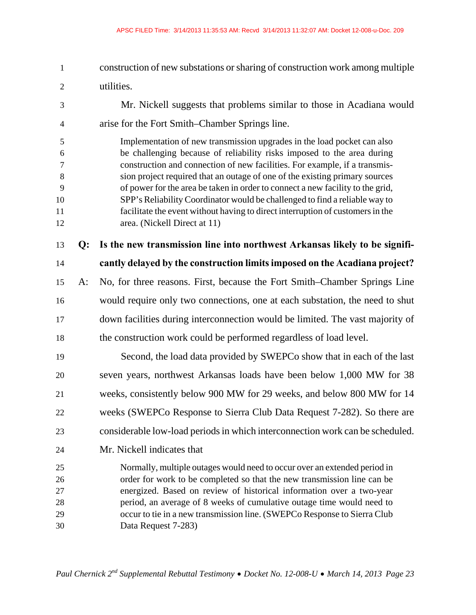1 construction of new substations or sharing of construction work among multiple 2 utilities. 3 Mr. Nickell suggests that problems similar to those in Acadiana would 4 arise for the Fort Smith–Chamber Springs line. 5 Implementation of new transmission upgrades in the load pocket can also 6 be challenging because of reliability risks imposed to the area during 7 construction and connection of new facilities. For example, if a transmis-8 sion project required that an outage of one of the existing primary sources 9 of power for the area be taken in order to connect a new facility to the grid, 10 SPP's Reliability Coordinator would be challenged to find a reliable way to 11 facilitate the event without having to direct interruption of customers in the 12 area. (Nickell Direct at 11) 13 **Q: Is the new transmission line into northwest Arkansas likely to be signifi-**14 **cantly delayed by the construction limits imposed on the Acadiana project?**  15 A: No, for three reasons. First, because the Fort Smith–Chamber Springs Line 16 would require only two connections, one at each substation, the need to shut 17 down facilities during interconnection would be limited. The vast majority of 18 the construction work could be performed regardless of load level. 19 Second, the load data provided by SWEPCo show that in each of the last 20 seven years, northwest Arkansas loads have been below 1,000 MW for 38 21 weeks, consistently below 900 MW for 29 weeks, and below 800 MW for 14 22 weeks (SWEPCo Response to Sierra Club Data Request 7-282). So there are 23 considerable low-load periods in which interconnection work can be scheduled. 24 Mr. Nickell indicates that 25 Normally, multiple outages would need to occur over an extended period in 26 order for work to be completed so that the new transmission line can be 27 energized. Based on review of historical information over a two-year 28 period, an average of 8 weeks of cumulative outage time would need to 29 occur to tie in a new transmission line. (SWEPCo Response to Sierra Club 30 Data Request 7-283)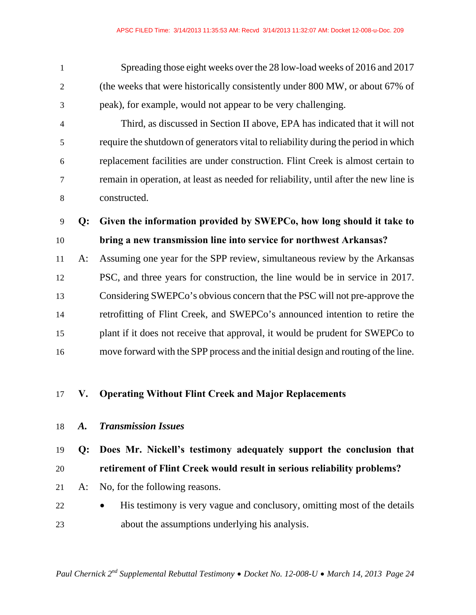1 Spreading those eight weeks over the 28 low-load weeks of 2016 and 2017 2 (the weeks that were historically consistently under 800 MW, or about 67% of 3 peak), for example, would not appear to be very challenging.

4 Third, as discussed in Section II above, EPA has indicated that it will not 5 require the shutdown of generators vital to reliability during the period in which 6 replacement facilities are under construction. Flint Creek is almost certain to 7 remain in operation, at least as needed for reliability, until after the new line is 8 constructed.

9 **Q: Given the information provided by SWEPCo, how long should it take to**  10 **bring a new transmission line into service for northwest Arkansas?** 

11 A: Assuming one year for the SPP review, simultaneous review by the Arkansas 12 PSC, and three years for construction, the line would be in service in 2017. 13 Considering SWEPCo's obvious concern that the PSC will not pre-approve the 14 retrofitting of Flint Creek, and SWEPCo's announced intention to retire the 15 plant if it does not receive that approval, it would be prudent for SWEPCo to 16 move forward with the SPP process and the initial design and routing of the line.

### 17 **V. Operating Without Flint Creek and Major Replacements**

#### 18 *A. Transmission Issues*

### 19 **Q: Does Mr. Nickell's testimony adequately support the conclusion that**  20 **retirement of Flint Creek would result in serious reliability problems?**

- 21 A: No, for the following reasons.
- 22 His testimony is very vague and conclusory, omitting most of the details 23 about the assumptions underlying his analysis.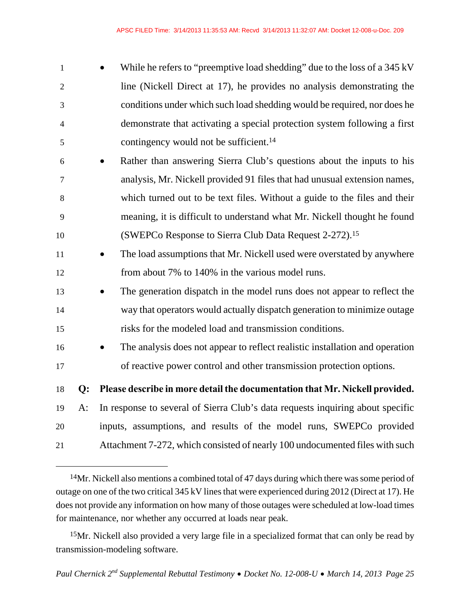| $\mathbf{1}$   |       | While he refers to "preemptive load shedding" due to the loss of a 345 kV           |
|----------------|-------|-------------------------------------------------------------------------------------|
| $\overline{2}$ |       | line (Nickell Direct at 17), he provides no analysis demonstrating the              |
| 3              |       | conditions under which such load shedding would be required, nor does he            |
| $\overline{4}$ |       | demonstrate that activating a special protection system following a first           |
| 5              |       | contingency would not be sufficient. <sup>14</sup>                                  |
| 6              |       | Rather than answering Sierra Club's questions about the inputs to his               |
| $\tau$         |       | analysis, Mr. Nickell provided 91 files that had unusual extension names,           |
| 8              |       | which turned out to be text files. Without a guide to the files and their           |
| 9              |       | meaning, it is difficult to understand what Mr. Nickell thought he found            |
| 10             |       | (SWEPCo Response to Sierra Club Data Request 2-272). <sup>15</sup>                  |
| 11             |       | The load assumptions that Mr. Nickell used were overstated by anywhere<br>$\bullet$ |
| 12             |       | from about 7% to 140% in the various model runs.                                    |
| 13             |       | The generation dispatch in the model runs does not appear to reflect the            |
| 14             |       | way that operators would actually dispatch generation to minimize outage            |
| 15             |       | risks for the modeled load and transmission conditions.                             |
| 16             |       | The analysis does not appear to reflect realistic installation and operation        |
| 17             |       | of reactive power control and other transmission protection options.                |
| 18             | Q:    | Please describe in more detail the documentation that Mr. Nickell provided.         |
| 19             | $A$ : | In response to several of Sierra Club's data requests inquiring about specific      |
| 20             |       | inputs, assumptions, and results of the model runs, SWEPCo provided                 |
| 21             |       | Attachment 7-272, which consisted of nearly 100 undocumented files with such        |
|                |       |                                                                                     |

<sup>14</sup>Mr. Nickell also mentions a combined total of 47 days during which there was some period of outage on one of the two critical 345 kV lines that were experienced during 2012 (Direct at 17). He does not provide any information on how many of those outages were scheduled at low-load times for maintenance, nor whether any occurred at loads near peak.

 $\overline{a}$ 

<sup>15</sup>Mr. Nickell also provided a very large file in a specialized format that can only be read by transmission-modeling software.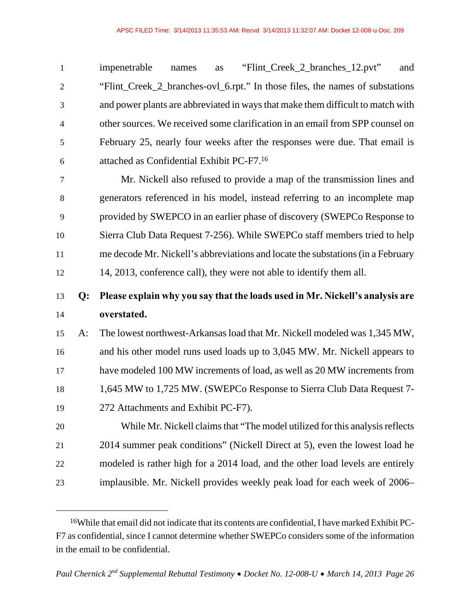| $\mathbf{1}$   | "Flint_Creek_2_branches_12.pvt"<br>impenetrable<br>and<br>as<br>names           |
|----------------|---------------------------------------------------------------------------------|
| 2              | "Flint_Creek_2_branches-ovl_6.rpt." In those files, the names of substations    |
| 3              | and power plants are abbreviated in ways that make them difficult to match with |
| $\overline{4}$ | other sources. We received some clarification in an email from SPP counsel on   |
| 5              | February 25, nearly four weeks after the responses were due. That email is      |
| 6              | attached as Confidential Exhibit PC-F7. <sup>16</sup>                           |
| $\tau$         | Mr. Nickell also refused to provide a map of the transmission lines and         |

8 generators referenced in his model, instead referring to an incomplete map 9 provided by SWEPCO in an earlier phase of discovery (SWEPCo Response to 10 Sierra Club Data Request 7-256). While SWEPCo staff members tried to help 11 me decode Mr. Nickell's abbreviations and locate the substations (in a February 12 14, 2013, conference call), they were not able to identify them all.

### 13 **Q: Please explain why you say that the loads used in Mr. Nickell's analysis are**  14 **overstated.**

15 A: The lowest northwest-Arkansas load that Mr. Nickell modeled was 1,345 MW, 16 and his other model runs used loads up to 3,045 MW. Mr. Nickell appears to 17 have modeled 100 MW increments of load, as well as 20 MW increments from 18 1,645 MW to 1,725 MW. (SWEPCo Response to Sierra Club Data Request 7- 19 272 Attachments and Exhibit PC-F7).

20 While Mr. Nickell claims that "The model utilized for this analysis reflects 21 2014 summer peak conditions" (Nickell Direct at 5), even the lowest load he 22 modeled is rather high for a 2014 load, and the other load levels are entirely 23 implausible. Mr. Nickell provides weekly peak load for each week of 2006–

<sup>16</sup>While that email did not indicate that its contents are confidential, I have marked Exhibit PC-F7 as confidential, since I cannot determine whether SWEPCo considers some of the information in the email to be confidential.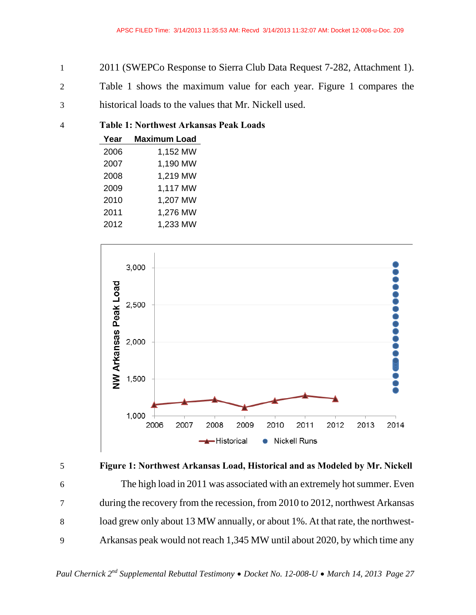- 1 2011 (SWEPCo Response to Sierra Club Data Request 7-282, Attachment 1).
- 2 Table 1 shows the maximum value for each year. Figure 1 compares the
- 3 historical loads to the values that Mr. Nickell used.

#### 4 **Table 1: Northwest Arkansas Peak Loads**

| Year | <b>Maximum Load</b> |
|------|---------------------|
| 2006 | 1,152 MW            |
| 2007 | 1.190 MW            |
| 2008 | 1,219 MW            |
| 2009 | 1,117 MW            |
| 2010 | 1,207 MW            |
| 2011 | 1,276 MW            |
| 2012 | 1,233 MW            |
|      |                     |



5 **Figure 1: Northwest Arkansas Load, Historical and as Modeled by Mr. Nickell**  6 The high load in 2011 was associated with an extremely hot summer. Even 7 during the recovery from the recession, from 2010 to 2012, northwest Arkansas 8 load grew only about 13 MW annually, or about 1%. At that rate, the northwest-9 Arkansas peak would not reach 1,345 MW until about 2020, by which time any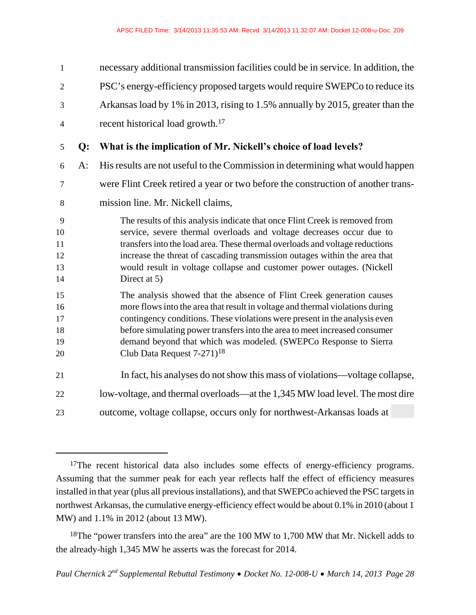| $\mathbf{1}$                     |       | necessary additional transmission facilities could be in service. In addition, the                                                                                                                                                                                                                                                                                                                                               |
|----------------------------------|-------|----------------------------------------------------------------------------------------------------------------------------------------------------------------------------------------------------------------------------------------------------------------------------------------------------------------------------------------------------------------------------------------------------------------------------------|
| $\overline{2}$                   |       | PSC's energy-efficiency proposed targets would require SWEPCo to reduce its                                                                                                                                                                                                                                                                                                                                                      |
| 3                                |       | Arkansas load by 1% in 2013, rising to 1.5% annually by 2015, greater than the                                                                                                                                                                                                                                                                                                                                                   |
| $\overline{4}$                   |       | recent historical load growth. <sup>17</sup>                                                                                                                                                                                                                                                                                                                                                                                     |
| 5                                | Q:    | What is the implication of Mr. Nickell's choice of load levels?                                                                                                                                                                                                                                                                                                                                                                  |
| 6                                | $A$ : | His results are not useful to the Commission in determining what would happen                                                                                                                                                                                                                                                                                                                                                    |
| 7                                |       | were Flint Creek retired a year or two before the construction of another trans-                                                                                                                                                                                                                                                                                                                                                 |
| 8                                |       | mission line. Mr. Nickell claims,                                                                                                                                                                                                                                                                                                                                                                                                |
| 9<br>10<br>11<br>12<br>13<br>14  |       | The results of this analysis indicate that once Flint Creek is removed from<br>service, severe thermal overloads and voltage decreases occur due to<br>transfers into the load area. These thermal overloads and voltage reductions<br>increase the threat of cascading transmission outages within the area that<br>would result in voltage collapse and customer power outages. (Nickell<br>Direct at 5)                       |
| 15<br>16<br>17<br>18<br>19<br>20 |       | The analysis showed that the absence of Flint Creek generation causes<br>more flows into the area that result in voltage and thermal violations during<br>contingency conditions. These violations were present in the analysis even<br>before simulating power transfers into the area to meet increased consumer<br>demand beyond that which was modeled. (SWEPCo Response to Sierra<br>Club Data Request 7-271) <sup>18</sup> |
| 21                               |       | In fact, his analyses do not show this mass of violations—voltage collapse,                                                                                                                                                                                                                                                                                                                                                      |
| 22                               |       | low-voltage, and thermal overloads—at the 1,345 MW load level. The most dire                                                                                                                                                                                                                                                                                                                                                     |
| 23                               |       | outcome, voltage collapse, occurs only for northwest-Arkansas loads at                                                                                                                                                                                                                                                                                                                                                           |

<sup>&</sup>lt;sup>17</sup>The recent historical data also includes some effects of energy-efficiency programs. Assuming that the summer peak for each year reflects half the effect of efficiency measures installed in that year (plus all previous installations), and that SWEPCo achieved the PSC targets in northwest Arkansas, the cumulative energy-efficiency effect would be about 0.1% in 2010 (about 1 MW) and 1.1% in 2012 (about 13 MW).

<sup>&</sup>lt;sup>18</sup>The "power transfers into the area" are the 100 MW to 1,700 MW that Mr. Nickell adds to the already-high 1,345 MW he asserts was the forecast for 2014.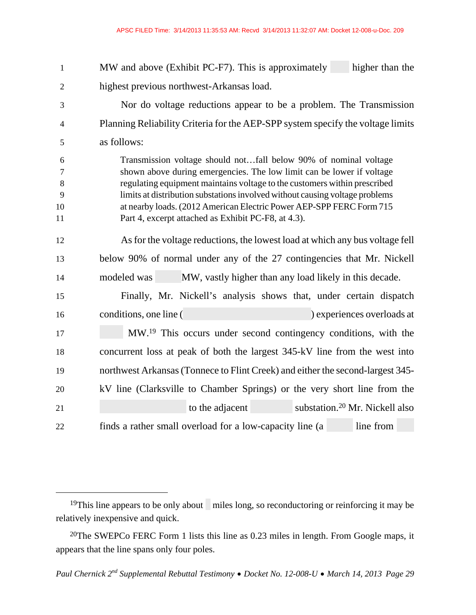| $\mathbf{1}$                      | MW and above (Exhibit PC-F7). This is approximately<br>higher than the                                                                                                                                                                                                                                                                                                                                                                |  |
|-----------------------------------|---------------------------------------------------------------------------------------------------------------------------------------------------------------------------------------------------------------------------------------------------------------------------------------------------------------------------------------------------------------------------------------------------------------------------------------|--|
| $\overline{2}$                    | highest previous northwest-Arkansas load.                                                                                                                                                                                                                                                                                                                                                                                             |  |
| 3                                 | Nor do voltage reductions appear to be a problem. The Transmission                                                                                                                                                                                                                                                                                                                                                                    |  |
| $\overline{4}$                    | Planning Reliability Criteria for the AEP-SPP system specify the voltage limits                                                                                                                                                                                                                                                                                                                                                       |  |
| 5                                 | as follows:                                                                                                                                                                                                                                                                                                                                                                                                                           |  |
| 6<br>$\tau$<br>8<br>9<br>10<br>11 | Transmission voltage should notfall below 90% of nominal voltage<br>shown above during emergencies. The low limit can be lower if voltage<br>regulating equipment maintains voltage to the customers within prescribed<br>limits at distribution substations involved without causing voltage problems<br>at nearby loads. (2012 American Electric Power AEP-SPP FERC Form 715<br>Part 4, excerpt attached as Exhibit PC-F8, at 4.3). |  |
| 12                                | As for the voltage reductions, the lowest load at which any bus voltage fell                                                                                                                                                                                                                                                                                                                                                          |  |
| 13                                | below 90% of normal under any of the 27 contingencies that Mr. Nickell                                                                                                                                                                                                                                                                                                                                                                |  |
| 14                                | MW, vastly higher than any load likely in this decade.<br>modeled was                                                                                                                                                                                                                                                                                                                                                                 |  |
| 15                                | Finally, Mr. Nickell's analysis shows that, under certain dispatch                                                                                                                                                                                                                                                                                                                                                                    |  |
| 16                                | conditions, one line (<br>experiences overloads at                                                                                                                                                                                                                                                                                                                                                                                    |  |
| 17                                | MW. <sup>19</sup> This occurs under second contingency conditions, with the                                                                                                                                                                                                                                                                                                                                                           |  |
| 18                                | concurrent loss at peak of both the largest 345-kV line from the west into                                                                                                                                                                                                                                                                                                                                                            |  |
| 19                                | northwest Arkansas (Tonnece to Flint Creek) and either the second-largest 345-                                                                                                                                                                                                                                                                                                                                                        |  |
| 20                                | kV line (Clarksville to Chamber Springs) or the very short line from the                                                                                                                                                                                                                                                                                                                                                              |  |
| 21                                | substation. <sup>20</sup> Mr. Nickell also<br>to the adjacent                                                                                                                                                                                                                                                                                                                                                                         |  |
| 22                                | finds a rather small overload for a low-capacity line (a<br>line from                                                                                                                                                                                                                                                                                                                                                                 |  |

<sup>&</sup>lt;sup>19</sup>This line appears to be only about miles long, so reconductoring or reinforcing it may be relatively inexpensive and quick.

<sup>20</sup>The SWEPCo FERC Form 1 lists this line as 0.23 miles in length. From Google maps, it appears that the line spans only four poles.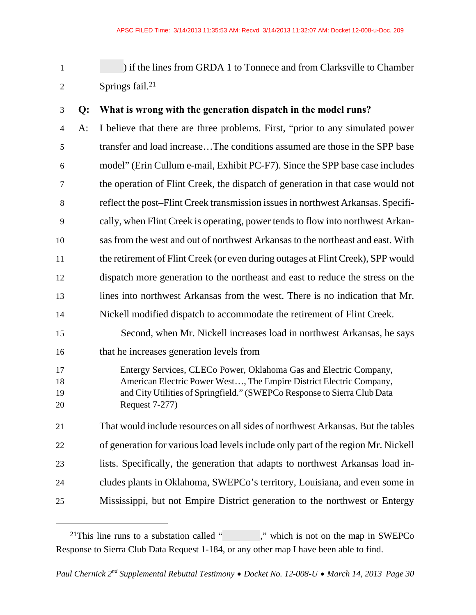1 ) if the lines from GRDA 1 to Tonnece and from Clarksville to Chamber 2 Springs fail.<sup>21</sup>

#### 3 **Q: What is wrong with the generation dispatch in the model runs?**

4 A: I believe that there are three problems. First, "prior to any simulated power 5 transfer and load increase…The conditions assumed are those in the SPP base 6 model" (Erin Cullum e-mail, Exhibit PC-F7). Since the SPP base case includes 7 the operation of Flint Creek, the dispatch of generation in that case would not 8 reflect the post–Flint Creek transmission issues in northwest Arkansas. Specifi-9 cally, when Flint Creek is operating, power tends to flow into northwest Arkan-10 sas from the west and out of northwest Arkansas to the northeast and east. With 11 the retirement of Flint Creek (or even during outages at Flint Creek), SPP would 12 dispatch more generation to the northeast and east to reduce the stress on the 13 lines into northwest Arkansas from the west. There is no indication that Mr. 14 Nickell modified dispatch to accommodate the retirement of Flint Creek. 15 Second, when Mr. Nickell increases load in northwest Arkansas, he says 16 that he increases generation levels from 17 Entergy Services, CLECo Power, Oklahoma Gas and Electric Company, 18 American Electric Power West…, The Empire District Electric Company, 19 and City Utilities of Springfield." (SWEPCo Response to Sierra Club Data 20 Request 7-277) 21 That would include resources on all sides of northwest Arkansas. But the tables 22 of generation for various load levels include only part of the region Mr. Nickell 23 lists. Specifically, the generation that adapts to northwest Arkansas load in-24 cludes plants in Oklahoma, SWEPCo's territory, Louisiana, and even some in 25 Mississippi, but not Empire District generation to the northwest or Entergy

<sup>&</sup>lt;sup>21</sup>This line runs to a substation called "  $\ldots$  ," which is not on the map in SWEPCo Response to Sierra Club Data Request 1-184, or any other map I have been able to find.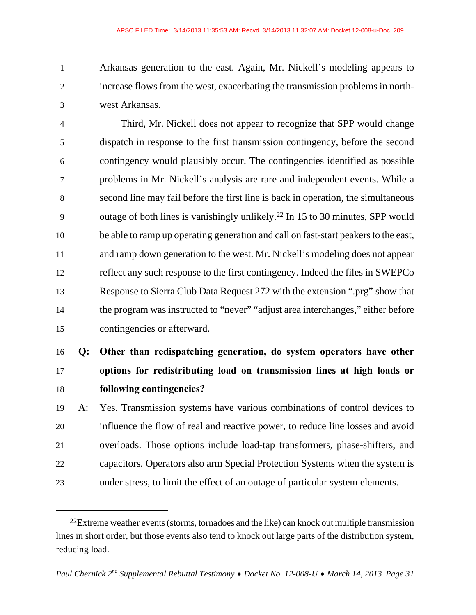1 Arkansas generation to the east. Again, Mr. Nickell's modeling appears to 2 increase flows from the west, exacerbating the transmission problems in north-3 west Arkansas.

4 Third, Mr. Nickell does not appear to recognize that SPP would change 5 dispatch in response to the first transmission contingency, before the second 6 contingency would plausibly occur. The contingencies identified as possible 7 problems in Mr. Nickell's analysis are rare and independent events. While a 8 second line may fail before the first line is back in operation, the simultaneous 9 outage of both lines is vanishingly unlikely.<sup>22</sup> In 15 to 30 minutes, SPP would 10 be able to ramp up operating generation and call on fast-start peakers to the east, 11 and ramp down generation to the west. Mr. Nickell's modeling does not appear 12 reflect any such response to the first contingency. Indeed the files in SWEPCo 13 Response to Sierra Club Data Request 272 with the extension ".prg" show that 14 the program was instructed to "never" "adjust area interchanges," either before 15 contingencies or afterward.

## 16 **Q: Other than redispatching generation, do system operators have other**  17 **options for redistributing load on transmission lines at high loads or**  18 **following contingencies?**

19 A: Yes. Transmission systems have various combinations of control devices to 20 influence the flow of real and reactive power, to reduce line losses and avoid 21 overloads. Those options include load-tap transformers, phase-shifters, and 22 capacitors. Operators also arm Special Protection Systems when the system is 23 under stress, to limit the effect of an outage of particular system elements.

 $^{22}$ Extreme weather events (storms, tornadoes and the like) can knock out multiple transmission lines in short order, but those events also tend to knock out large parts of the distribution system, reducing load.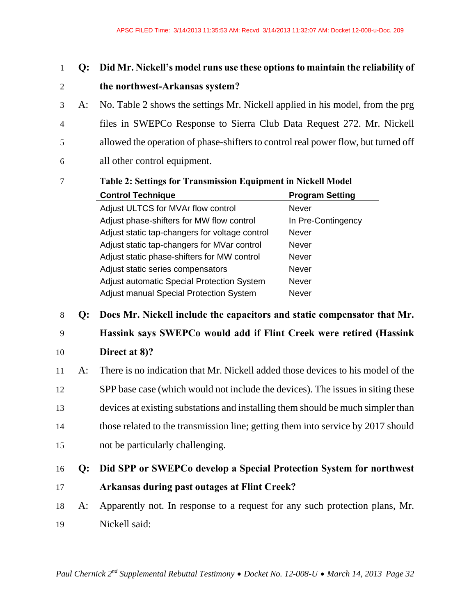### 1 **Q: Did Mr. Nickell's model runs use these options to maintain the reliability of**  2 **the northwest-Arkansas system?**

3 A: No. Table 2 shows the settings Mr. Nickell applied in his model, from the prg 4 files in SWEPCo Response to Sierra Club Data Request 272. Mr. Nickell 5 allowed the operation of phase-shifters to control real power flow, but turned off 6 all other control equipment.

| Table 2: Settings for Transmission Equipment in Nickell Model |                        |
|---------------------------------------------------------------|------------------------|
| <b>Control Technique</b>                                      | <b>Program Setting</b> |
| Adjust ULTCS for MVAr flow control                            | Never                  |
| Adjust phase-shifters for MW flow control                     | In Pre-Contingency     |
| Adjust static tap-changers for voltage control                | <b>Never</b>           |
| Adjust static tap-changers for MVar control                   | <b>Never</b>           |
| Adjust static phase-shifters for MW control                   | <b>Never</b>           |
| Adjust static series compensators                             | <b>Never</b>           |
| Adjust automatic Special Protection System                    | <b>Never</b>           |
| <b>Adjust manual Special Protection System</b>                | <b>Never</b>           |

# 7 **Table 2: Settings for Transmission Equipment in Nickell Model**

8 **Q: Does Mr. Nickell include the capacitors and static compensator that Mr.** 

### 9 **Hassink says SWEPCo would add if Flint Creek were retired (Hassink**

10 **Direct at 8)?** 

11 A: There is no indication that Mr. Nickell added those devices to his model of the 12 SPP base case (which would not include the devices). The issues in siting these 13 devices at existing substations and installing them should be much simpler than 14 those related to the transmission line; getting them into service by 2017 should 15 not be particularly challenging.

## 16 **Q: Did SPP or SWEPCo develop a Special Protection System for northwest**

- 17 **Arkansas during past outages at Flint Creek?**
- 18 A: Apparently not. In response to a request for any such protection plans, Mr. 19 Nickell said: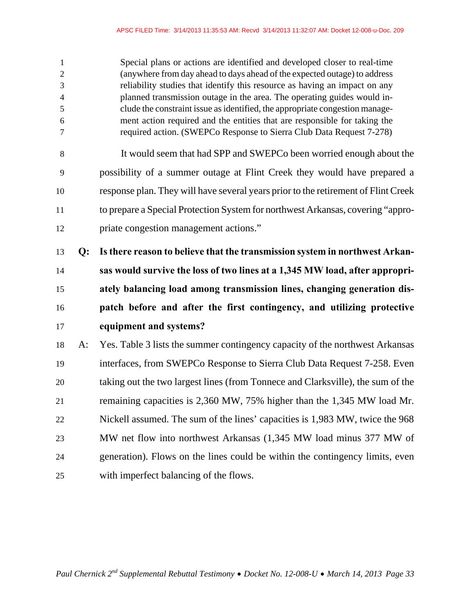| $\mathbf{1}$<br>$\overline{2}$<br>3<br>$\overline{4}$<br>$\mathfrak{S}$<br>6<br>7 |    | Special plans or actions are identified and developed closer to real-time<br>(anywhere from day ahead to days ahead of the expected outage) to address<br>reliability studies that identify this resource as having an impact on any<br>planned transmission outage in the area. The operating guides would in-<br>clude the constraint issue as identified, the appropriate congestion manage-<br>ment action required and the entities that are responsible for taking the<br>required action. (SWEPCo Response to Sierra Club Data Request 7-278) |
|-----------------------------------------------------------------------------------|----|------------------------------------------------------------------------------------------------------------------------------------------------------------------------------------------------------------------------------------------------------------------------------------------------------------------------------------------------------------------------------------------------------------------------------------------------------------------------------------------------------------------------------------------------------|
| 8                                                                                 |    | It would seem that had SPP and SWEPCo been worried enough about the                                                                                                                                                                                                                                                                                                                                                                                                                                                                                  |
| 9                                                                                 |    | possibility of a summer outage at Flint Creek they would have prepared a                                                                                                                                                                                                                                                                                                                                                                                                                                                                             |
| 10                                                                                |    | response plan. They will have several years prior to the retirement of Flint Creek                                                                                                                                                                                                                                                                                                                                                                                                                                                                   |
| 11                                                                                |    | to prepare a Special Protection System for northwest Arkansas, covering "appro-                                                                                                                                                                                                                                                                                                                                                                                                                                                                      |
| 12                                                                                |    | priate congestion management actions."                                                                                                                                                                                                                                                                                                                                                                                                                                                                                                               |
| 13                                                                                | Q: | Is there reason to believe that the transmission system in northwest Arkan-                                                                                                                                                                                                                                                                                                                                                                                                                                                                          |
| 14                                                                                |    | sas would survive the loss of two lines at a 1,345 MW load, after appropri-                                                                                                                                                                                                                                                                                                                                                                                                                                                                          |
| 15                                                                                |    | ately balancing load among transmission lines, changing generation dis-                                                                                                                                                                                                                                                                                                                                                                                                                                                                              |
| 16                                                                                |    | patch before and after the first contingency, and utilizing protective                                                                                                                                                                                                                                                                                                                                                                                                                                                                               |
| 17                                                                                |    | equipment and systems?                                                                                                                                                                                                                                                                                                                                                                                                                                                                                                                               |
| 18                                                                                | A: | Yes. Table 3 lists the summer contingency capacity of the northwest Arkansas                                                                                                                                                                                                                                                                                                                                                                                                                                                                         |
| 19                                                                                |    | interfaces, from SWEPCo Response to Sierra Club Data Request 7-258. Even                                                                                                                                                                                                                                                                                                                                                                                                                                                                             |
| 20                                                                                |    | taking out the two largest lines (from Tonnece and Clarksville), the sum of the                                                                                                                                                                                                                                                                                                                                                                                                                                                                      |
| 21                                                                                |    | remaining capacities is 2,360 MW, 75% higher than the 1,345 MW load Mr.                                                                                                                                                                                                                                                                                                                                                                                                                                                                              |
|                                                                                   |    | Nickell assumed. The sum of the lines' capacities is 1,983 MW, twice the 968                                                                                                                                                                                                                                                                                                                                                                                                                                                                         |
| 22                                                                                |    | MW net flow into northwest Arkansas (1,345 MW load minus 377 MW of                                                                                                                                                                                                                                                                                                                                                                                                                                                                                   |
| 23                                                                                |    |                                                                                                                                                                                                                                                                                                                                                                                                                                                                                                                                                      |
| 24                                                                                |    | generation). Flows on the lines could be within the contingency limits, even                                                                                                                                                                                                                                                                                                                                                                                                                                                                         |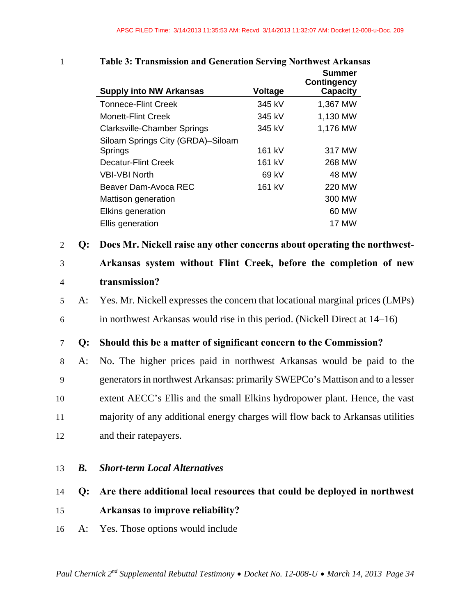|         | Table 5. Transmission and Generation Serving For thwest Arkansas<br><b>Supply into NW Arkansas</b> | Voltage | <b>Summer</b><br><b>Contingency</b><br><b>Capacity</b> |  |
|---------|----------------------------------------------------------------------------------------------------|---------|--------------------------------------------------------|--|
|         | <b>Tonnece-Flint Creek</b>                                                                         | 345 kV  | 1,367 MW                                               |  |
|         | <b>Monett-Flint Creek</b>                                                                          | 345 kV  | 1,130 MW                                               |  |
|         | <b>Clarksville-Chamber Springs</b>                                                                 | 345 kV  | 1,176 MW                                               |  |
|         | Siloam Springs City (GRDA)-Siloam                                                                  |         |                                                        |  |
|         | Springs                                                                                            | 161 kV  | 317 MW                                                 |  |
|         | <b>Decatur-Flint Creek</b>                                                                         | 161 kV  | 268 MW                                                 |  |
|         | <b>VBI-VBI North</b>                                                                               | 69 kV   | 48 MW                                                  |  |
|         | Beaver Dam-Avoca REC                                                                               | 161 kV  | 220 MW                                                 |  |
|         | Mattison generation                                                                                |         | 300 MW                                                 |  |
|         | Elkins generation                                                                                  |         | 60 MW                                                  |  |
|         | Ellis generation                                                                                   |         | <b>17 MW</b>                                           |  |
| 2<br>Q: | Does Mr. Nickell raise any other concerns about operating the northwest-                           |         |                                                        |  |
| 3       | Arkansas system without Flint Creek, before the completion of new                                  |         |                                                        |  |

### 1 **Table 3: Transmission and Generation Serving Northwest Arkansas**

#### 4 **transmission?**

- 5 A: Yes. Mr. Nickell expresses the concern that locational marginal prices (LMPs)
- 6 in northwest Arkansas would rise in this period. (Nickell Direct at 14–16)

7 **Q: Should this be a matter of significant concern to the Commission?** 

8 A: No. The higher prices paid in northwest Arkansas would be paid to the 9 generators in northwest Arkansas: primarily SWEPCo's Mattison and to a lesser 10 extent AECC's Ellis and the small Elkins hydropower plant. Hence, the vast 11 majority of any additional energy charges will flow back to Arkansas utilities 12 and their ratepayers.

#### 13 *B. Short-term Local Alternatives*

### 14 **Q: Are there additional local resources that could be deployed in northwest**

### 15 **Arkansas to improve reliability?**

16 A: Yes. Those options would include

*Paul Chernick 2nd Supplemental Rebuttal Testimony Docket No. 12-008-U March 14, 2013 Page 34*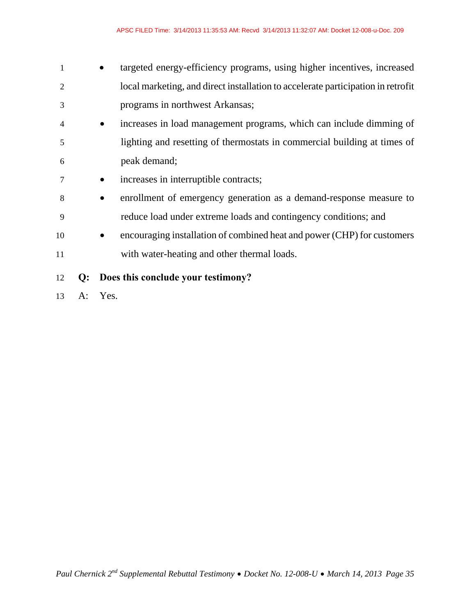- 1 **targeted energy-efficiency programs, using higher incentives, increased** 2 local marketing, and direct installation to accelerate participation in retrofit 3 programs in northwest Arkansas;
- 4 increases in load management programs, which can include dimming of 5 lighting and resetting of thermostats in commercial building at times of 6 peak demand;
- 7 **•** increases in interruptible contracts;
- 8 enrollment of emergency generation as a demand-response measure to 9 reduce load under extreme loads and contingency conditions; and
- 10 encouraging installation of combined heat and power (CHP) for customers 11 with water-heating and other thermal loads.
- 12 **Q: Does this conclude your testimony?**
- 13 A: Yes.